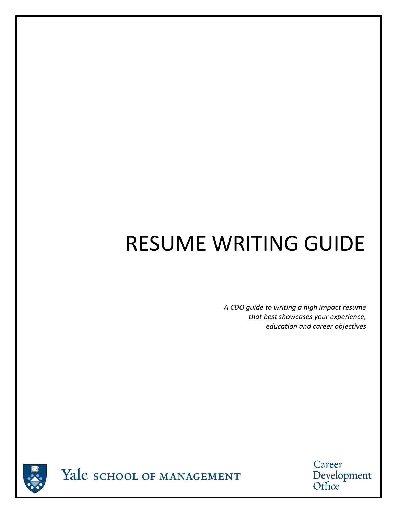# RESUME WRITING GUIDE

*A CDO guide to writing a high impact resume that best showcases your experience, education and career objectives*



Career Development<br>Office

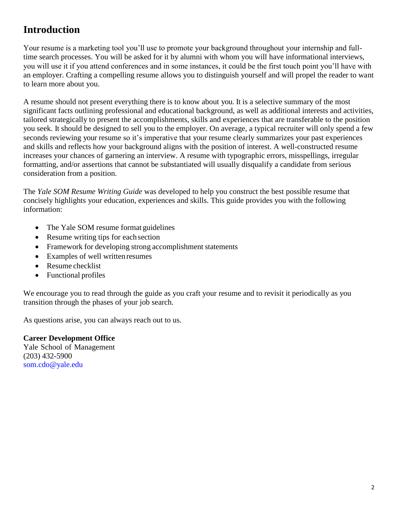## **Introduction**

Your resume is a marketing tool you'll use to promote your background throughout your internship and fulltime search processes. You will be asked for it by alumni with whom you will have informational interviews, you will use it if you attend conferences and in some instances, it could be the first touch point you'll have with an employer. Crafting a compelling resume allows you to distinguish yourself and will propel the reader to want to learn more about you.

A resume should not present everything there is to know about you. It is a selective summary of the most significant facts outlining professional and educational background, as well as additional interests and activities, tailored strategically to present the accomplishments, skills and experiences that are transferable to the position you seek. It should be designed to sell you to the employer. On average, a typical recruiter will only spend a few seconds reviewing your resume so it's imperative that your resume clearly summarizes your past experiences and skills and reflects how your background aligns with the position of interest. A well-constructed resume increases your chances of garnering an interview. A resume with typographic errors, misspellings, irregular formatting, and/or assertions that cannot be substantiated will usually disqualify a candidate from serious consideration from a position.

The *Yale SOM Resume Writing Guide* was developed to help you construct the best possible resume that concisely highlights your education, experiences and skills. This guide provides you with the following information:

- The Yale SOM resume format guidelines
- Resume writing tips for each section
- Framework for developing strong accomplishment statements
- Examples of well written resumes
- Resume checklist
- Functional profiles

We encourage you to read through the guide as you craft your resume and to revisit it periodically as you transition through the phases of your job search.

As questions arise, you can always reach out to us.

**Career Development Office**  Yale School of Management (203) 432-5900 [som.cdo@yale.edu](mailto:som.cdo@yale.edu)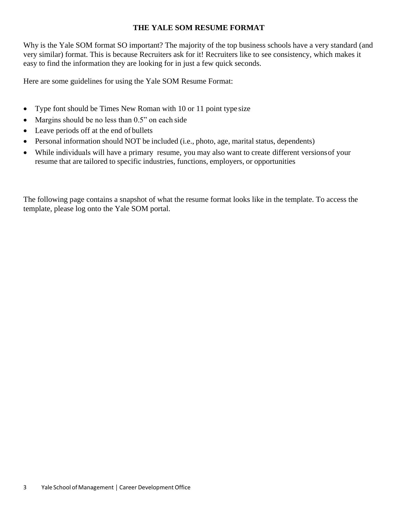#### **THE YALE SOM RESUME FORMAT**

Why is the Yale SOM format SO important? The majority of the top business schools have a very standard (and very similar) format. This is because Recruiters ask for it! Recruiters like to see consistency, which makes it easy to find the information they are looking for in just a few quick seconds.

Here are some guidelines for using the Yale SOM Resume Format:

- Type font should be Times New Roman with 10 or 11 point type size
- Margins should be no less than 0.5" on each side
- Leave periods off at the end of bullets
- Personal information should NOT be included (i.e., photo, age, marital status, dependents)
- While individuals will have a primary resume, you may also want to create different versions of your resume that are tailored to specific industries, functions, employers, or opportunities

The following page contains a snapshot of what the resume format looks like in the template. To access the template, please log onto the Yale SOM portal.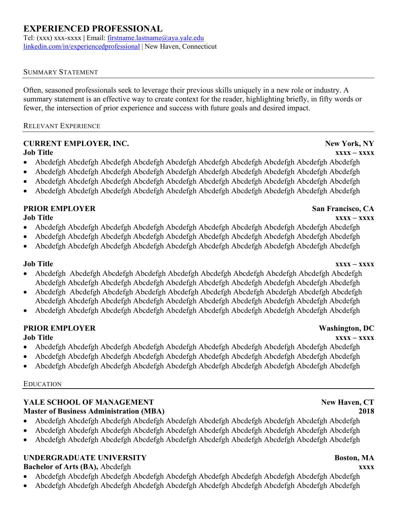### **EXPERIENCED PROFESSIONAL**

Tel: (xxx) xxx-xxxx **|** Email: [firstname.lastname@aya.yale.edu](https://alumni.yale.edu/help-center-alumni-email-yalemail) [linkedin.com/in/experiencedprofessional](https://www.linkedin.com/help/linkedin/topics/6042/6054/87) | New Haven, Connecticut

#### SUMMARY STATEMENT

Often, seasoned professionals seek to leverage their previous skills uniquely in a new role or industry. A summary statement is an effective way to create context for the reader, highlighting briefly, in fifty words or fewer, the intersection of prior experience and success with future goals and desired impact.

#### RELEVANT EXPERIENCE

## **CURRENT EMPLOYER, INC. New York, NY**

- **Job Title xxxx – xxxx** • Abcdefgh Abcdefgh Abcdefgh Abcdefgh Abcdefgh Abcdefgh Abcdefgh Abcdefgh Abcdefgh Abcdefgh
- Abcdefgh Abcdefgh Abcdefgh Abcdefgh Abcdefgh Abcdefgh Abcdefgh Abcdefgh Abcdefgh Abcdefgh
- Abcdefgh Abcdefgh Abcdefgh Abcdefgh Abcdefgh Abcdefgh Abcdefgh Abcdefgh Abcdefgh Abcdefgh
- Abcdefgh Abcdefgh Abcdefgh Abcdefgh Abcdefgh Abcdefgh Abcdefgh Abcdefgh Abcdefgh Abcdefgh

## **PRIOR EMPLOYER San Francisco, CA**

#### **Job Title xxxx – xxxx** • Abcdefgh Abcdefgh Abcdefgh Abcdefgh Abcdefgh Abcdefgh Abcdefgh Abcdefgh Abcdefgh Abcdefgh

- Abcdefgh Abcdefgh Abcdefgh Abcdefgh Abcdefgh Abcdefgh Abcdefgh Abcdefgh Abcdefgh Abcdefgh
- Abcdefgh Abcdefgh Abcdefgh Abcdefgh Abcdefgh Abcdefgh Abcdefgh Abcdefgh Abcdefgh Abcdefgh

#### **Job Title xxxx – xxxx**

- Abcdefgh Abcdefgh Abcdefgh Abcdefgh Abcdefgh Abcdefgh Abcdefgh Abcdefgh Abcdefgh Abcdefgh Abcdefgh Abcdefgh Abcdefgh Abcdefgh Abcdefgh Abcdefgh Abcdefgh Abcdefgh Abcdefgh Abcdefgh
- Abcdefgh Abcdefgh Abcdefgh Abcdefgh Abcdefgh Abcdefgh Abcdefgh Abcdefgh Abcdefgh Abcdefgh Abcdefgh Abcdefgh Abcdefgh Abcdefgh Abcdefgh Abcdefgh Abcdefgh Abcdefgh Abcdefgh Abcdefgh
- Abcdefgh Abcdefgh Abcdefgh Abcdefgh Abcdefgh Abcdefgh Abcdefgh Abcdefgh Abcdefgh Abcdefgh

### **PRIOR EMPLOYER Washington, DC**

#### **Job Title xxxx – xxxx**

- Abcdefgh Abcdefgh Abcdefgh Abcdefgh Abcdefgh Abcdefgh Abcdefgh Abcdefgh Abcdefgh Abcdefgh
- Abcdefgh Abcdefgh Abcdefgh Abcdefgh Abcdefgh Abcdefgh Abcdefgh Abcdefgh Abcdefgh Abcdefgh
- Abcdefgh Abcdefgh Abcdefgh Abcdefgh Abcdefgh Abcdefgh Abcdefgh Abcdefgh Abcdefgh Abcdefgh

#### EDUCATION

### **YALE SCHOOL OF MANAGEMENT New Haven, CT Master of Business Administration (MBA) 2018**

- Abcdefgh Abcdefgh Abcdefgh Abcdefgh Abcdefgh Abcdefgh Abcdefgh Abcdefgh Abcdefgh Abcdefgh
- Abcdefgh Abcdefgh Abcdefgh Abcdefgh Abcdefgh Abcdefgh Abcdefgh Abcdefgh Abcdefgh Abcdefgh
- Abcdefgh Abcdefgh Abcdefgh Abcdefgh Abcdefgh Abcdefgh Abcdefgh Abcdefgh Abcdefgh Abcdefgh

### **UNDERGRADUATE UNIVERSITY Boston, MA**

#### **Bachelor of Arts (BA),** Abcdefgh **xxxx**

- Abcdefgh Abcdefgh Abcdefgh Abcdefgh Abcdefgh Abcdefgh Abcdefgh Abcdefgh Abcdefgh Abcdefgh
- Abcdefgh Abcdefgh Abcdefgh Abcdefgh Abcdefgh Abcdefgh Abcdefgh Abcdefgh Abcdefgh Abcdefgh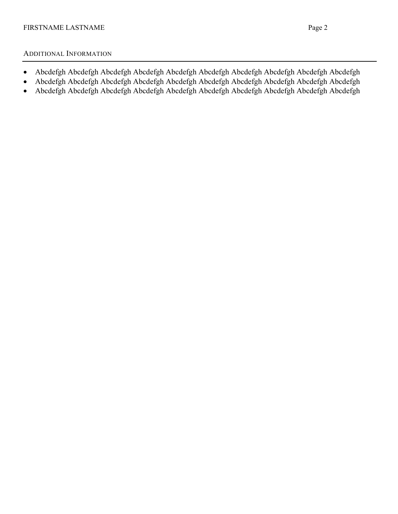#### ADDITIONAL INFORMATION

- Abcdefgh Abcdefgh Abcdefgh Abcdefgh Abcdefgh Abcdefgh Abcdefgh Abcdefgh Abcdefgh Abcdefgh
- Abcdefgh Abcdefgh Abcdefgh Abcdefgh Abcdefgh Abcdefgh Abcdefgh Abcdefgh Abcdefgh Abcdefgh
- Abcdefgh Abcdefgh Abcdefgh Abcdefgh Abcdefgh Abcdefgh Abcdefgh Abcdefgh Abcdefgh Abcdefgh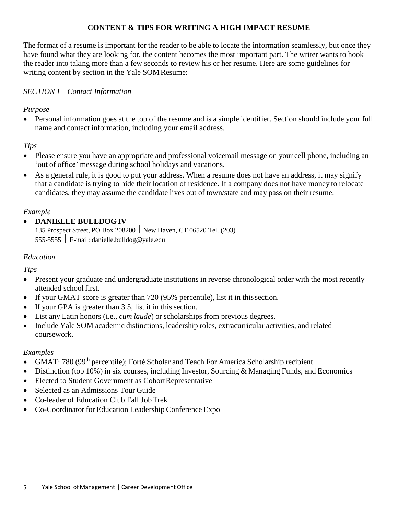### **CONTENT & TIPS FOR WRITING A HIGH IMPACT RESUME**

The format of a resume is important for the reader to be able to locate the information seamlessly, but once they have found what they are looking for, the content becomes the most important part. The writer wants to hook the reader into taking more than a few seconds to review his or her resume. Here are some guidelines for writing content by section in the Yale SOMResume:

#### *SECTION I – Contact Information*

#### *Purpose*

• Personal information goes at the top of the resume and is a simple identifier. Section should include your full name and contact information, including your email address.

### *Tips*

- Please ensure you have an appropriate and professional voicemail message on your cell phone, including an 'out of office' message during school holidays and vacations.
- As a general rule, it is good to put your address. When a resume does not have an address, it may signify that a candidate is trying to hide their location of residence. If a company does not have money to relocate candidates, they may assume the candidate lives out of town/state and may pass on their resume.

### *Example*

### • **DANIELLE BULLDOG IV**

135 Prospect Street, PO Box 208200 New Haven, CT 06520 Tel. (203) 555-5555 E-mail: [danielle.bulldog@yale.edu](mailto:danielle.bulldog@yale.edu)

#### *Education*

*Tips*

- Present your graduate and undergraduate institutions in reverse chronological order with the most recently attended school first.
- If your GMAT score is greater than 720 (95% percentile), list it in this section.
- If your GPA is greater than 3.5, list it in this section.
- List any Latin honors (i.e., *cum laude*) or scholarships from previous degrees.
- Include Yale SOM academic distinctions, leadership roles, extracurricular activities, and related coursework.

#### *Examples*

- GMAT: 780 (99<sup>th</sup> percentile); Forté Scholar and Teach For America Scholarship recipient
- Distinction (top 10%) in six courses, including Investor, Sourcing & Managing Funds, and Economics
- Elected to Student Government as Cohort Representative
- Selected as an Admissions Tour Guide
- Co-leader of Education Club Fall JobTrek
- Co-Coordinator for Education Leadership Conference Expo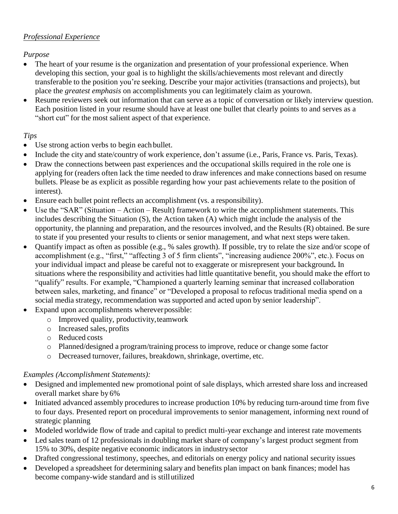### *Professional Experience*

### *Purpose*

- The heart of your resume is the organization and presentation of your professional experience. When developing this section, your goal is to highlight the skills/achievements most relevant and directly transferable to the position you're seeking. Describe your major activities (transactions and projects), but place the *greatest emphasis* on accomplishments you can legitimately claim as yourown.
- Resume reviewers seek out information that can serve as a topic of conversation or likely interview question. Each position listed in your resume should have at least one bullet that clearly points to and serves as a "short cut" for the most salient aspect of that experience.

### *Tips*

- Use strong action verbs to begin each bullet.
- Include the city and state/country of work experience, don't assume (i.e., Paris, France vs. Paris, Texas).
- Draw the connections between past experiences and the occupational skills required in the role one is applying for (readers often lack the time needed to draw inferences and make connections based on resume bullets. Please be as explicit as possible regarding how your past achievements relate to the position of interest).
- Ensure each bullet point reflects an accomplishment (vs. a responsibility).
- Use the "SAR" (Situation Action Result) framework to write the accomplishment statements. This includes describing the Situation (S), the Action taken (A) which might include the analysis of the opportunity, the planning and preparation, and the resources involved, and the Results (R) obtained. Be sure to state if you presented your results to clients or senior management, and what next steps were taken.
- Quantify impact as often as possible (e.g., % sales growth). If possible, try to relate the size and/or scope of accomplishment (e.g., "first," "affecting 3 of 5 firm clients", "increasing audience 200%", etc.). Focus on your individual impact and please be careful not to exaggerate or misrepresent your background**.** In situations where the responsibility and activities had little quantitative benefit, you should make the effort to "qualify" results. For example, "Championed a quarterly learning seminar that increased collaboration between sales, marketing, and finance" or "Developed a proposal to refocus traditional media spend on a social media strategy, recommendation was supported and acted upon by senior leadership".
- Expand upon accomplishments wherever possible:
	- o Improved quality, productivity,teamwork
	- o Increased sales, profits
	- o Reduced costs
	- o Planned/designed a program/training process to improve, reduce or change some factor
	- o Decreased turnover, failures, breakdown, shrinkage, overtime, etc.

### *Examples (Accomplishment Statements):*

- Designed and implemented new promotional point of sale displays, which arrested share loss and increased overall market share by 6%
- Initiated advanced assembly procedures to increase production 10% by reducing turn-around time from five to four days. Presented report on procedural improvements to senior management, informing next round of strategic planning
- Modeled worldwide flow of trade and capital to predict multi-year exchange and interest rate movements
- Led sales team of 12 professionals in doubling market share of company's largest product segment from 15% to 30%, despite negative economic indicators in industrysector
- Drafted congressional testimony, speeches, and editorials on energy policy and national security issues
- Developed a spreadsheet for determining salary and benefits plan impact on bank finances; model has become company-wide standard and is stillutilized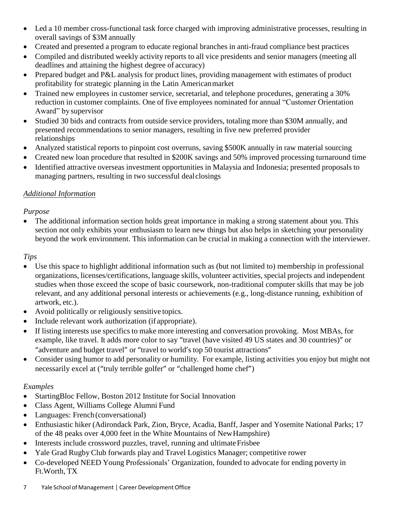- Led a 10 member cross-functional task force charged with improving administrative processes, resulting in overall savings of \$3M annually
- Created and presented a program to educate regional branches in anti-fraud compliance best practices
- Compiled and distributed weekly activity reports to all vice presidents and senior managers (meeting all deadlines and attaining the highest degree of accuracy)
- Prepared budget and P&L analysis for product lines, providing management with estimates of product profitability for strategic planning in the Latin Americanmarket
- Trained new employees in customer service, secretarial, and telephone procedures, generating a 30% reduction in customer complaints. One of five employees nominated for annual "Customer Orientation Award" by supervisor
- Studied 30 bids and contracts from outside service providers, totaling more than \$30M annually, and presented recommendations to senior managers, resulting in five new preferred provider relationships
- Analyzed statistical reports to pinpoint cost overruns, saving \$500K annually in raw material sourcing
- Created new loan procedure that resulted in \$200K savings and 50% improved processing turnaround time
- Identified attractive overseas investment opportunities in Malaysia and Indonesia; presented proposals to managing partners, resulting in two successful dealclosings

### *Additional Information*

### *Purpose*

The additional information section holds great importance in making a strong statement about you. This section not only exhibits your enthusiasm to learn new things but also helps in sketching your personality beyond the work environment. This information can be crucial in making a connection with the interviewer.

### *Tips*

- Use this space to highlight additional information such as (but not limited to) membership in professional organizations, licenses/certifications, language skills, volunteer activities, special projects and independent studies when those exceed the scope of basic coursework, non-traditional computer skills that may be job relevant, and any additional personal interests or achievements (e.g., long-distance running, exhibition of artwork, etc.).
- Avoid politically or religiously sensitive topics.
- Include relevant work authorization (if appropriate).
- If listing interests use specifics to make more interesting and conversation provoking. Most MBAs, for example, like travel. It adds more color to say "travel (have visited 49 US states and 30 countries)" or "adventure and budget travel" or "travel to world's top 50 tourist attractions"
- Consider using humor to add personality or humility. For example, listing activities you enjoy but might not necessarily excel at ("truly terrible golfer" or "challenged home chef")

### *Examples*

- StartingBloc Fellow, Boston 2012 Institute for Social Innovation
- Class Agent, Williams College Alumni Fund
- Languages: French (conversational)
- Enthusiastic hiker (Adirondack Park, Zion, Bryce, Acadia, Banff, Jasper and Yosemite National Parks; 17 of the 48 peaks over 4,000 feet in the White Mountains of NewHampshire)
- Interests include crossword puzzles, travel, running and ultimate Frisbee
- Yale Grad Rugby Club forwards play and Travel Logistics Manager; competitive rower
- Co-developed NEED Young Professionals' Organization, founded to advocate for ending poverty in Ft.Worth, TX
- 7 Yale School of Management │ Career Development Office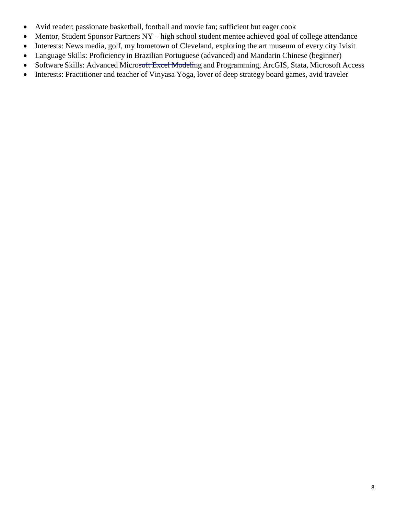- Avid reader; passionate basketball, football and movie fan; sufficient but eager cook
- Mentor, Student Sponsor Partners NY high school student mentee achieved goal of college attendance
- Interests: News media, golf, my hometown of Cleveland, exploring the art museum of every city Ivisit
- Language Skills: Proficiency in Brazilian Portuguese (advanced) and Mandarin Chinese (beginner)
- Software Skills: Advanced Microsoft Excel Modeling and Programming, ArcGIS, Stata, Microsoft Access
- Interests: Practitioner and teacher of Vinyasa Yoga, lover of deep strategy board games, avid traveler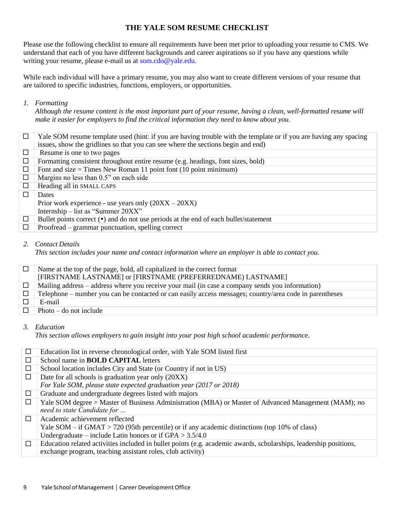#### **THE YALE SOM RESUME CHECKLIST**

Please use the following checklist to ensure all requirements have been met prior to uploading your resume to CMS. We understand that each of you have different backgrounds and career aspirations so if you have any questions while writing your resume, please e-[mail us at som.cdo@ya](mailto:som.cdo@yale.edu)le.edu.

While each individual will have a primary resume, you may also want to create different versions of your resume that are tailored to specific industries, functions, employers, or opportunities.

#### *1. Formatting*

*Although the resume content is the most important part of your resume, having a clean, well-formatted resume will make it easier for employers to find the critical information they need to know about you.*

| $\Box$ | Yale SOM resume template used (hint: if you are having trouble with the template or if you are having any spacing<br>issues, show the gridlines so that you can see where the sections begin and end) |
|--------|-------------------------------------------------------------------------------------------------------------------------------------------------------------------------------------------------------|
| □      | Resume is one to two pages                                                                                                                                                                            |
| □      | Formatting consistent throughout entire resume (e.g. headings, font sizes, bold)                                                                                                                      |
| $\Box$ | Font and size $=$ Times New Roman 11 point font (10 point minimum)                                                                                                                                    |
| □      | Margins no less than 0.5" on each side                                                                                                                                                                |
| □      | Heading all in SMALL CAPS                                                                                                                                                                             |
|        | Dates                                                                                                                                                                                                 |
|        | Prior work experience - use years only $(20XX - 20XX)$                                                                                                                                                |
|        | Internship – list as "Summer 20XX"                                                                                                                                                                    |
| □      | Bullet points correct ( $\bullet$ ) and do not use periods at the end of each bullet/statement                                                                                                        |
| $\Box$ | Proofread – grammar punctuation, spelling correct                                                                                                                                                     |

#### *2. Contact Details*

*This section includes your name and contact information where an employer is able to contact you.*

|        | Name at the top of the page, bold, all capitalized in the correct format<br>[FIRSTNAME LASTNAME] or [FIRSTNAME (PREFERREDNAME) LASTNAME] |
|--------|------------------------------------------------------------------------------------------------------------------------------------------|
|        |                                                                                                                                          |
| $\Box$ | Mailing address – address where you receive your mail (in case a company sends you information)                                          |
| $\Box$ | Telephone – number you can be contacted or can easily access messages; country/area code in parentheses                                  |
|        | E-mail                                                                                                                                   |
| П      | Photo $-$ do not include                                                                                                                 |

#### *3. Education*

*This section allows employers to gain insight into your post high school academic performance.*

| $\Box$ | Education list in reverse chronological order, with Yale SOM listed first                                                           |
|--------|-------------------------------------------------------------------------------------------------------------------------------------|
| □      | School name in <b>BOLD CAPITAL</b> letters                                                                                          |
| $\Box$ | School location includes City and State (or Country if not in US)                                                                   |
| □      | Date for all schools is graduation year only (20XX)                                                                                 |
|        | For Yale SOM, please state expected graduation year (2017 or 2018)                                                                  |
| □      | Graduate and undergraduate degrees listed with majors                                                                               |
| □      | Yale SOM degree = Master of Business Administration (MBA) or Master of Advanced Management (MAM); no<br>need to state Candidate for |
| П      | Academic achievement reflected                                                                                                      |
|        | Yale SOM – if GMAT > 720 (95th percentile) or if any academic distinctions (top 10% of class)                                       |
|        | Undergraduate – include Latin honors or if $GPA > 3.5/4.0$                                                                          |
| □      | Education related activities included in bullet points (e.g. academic awards, scholarships, leadership positions,                   |
|        | exchange program, teaching assistant roles, club activity)                                                                          |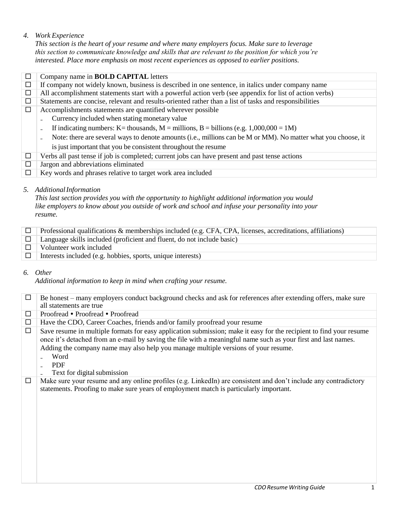#### *4. Work Experience*

*This section is the heart of your resume and where many employers focus. Make sure to leverage this section to communicate knowledge and skills that are relevant to the position for which you're interested. Place more emphasis on most recent experiences as opposed to earlier positions.*

|        | Company name in <b>BOLD CAPITAL</b> letters                                                                           |
|--------|-----------------------------------------------------------------------------------------------------------------------|
| □      | If company not widely known, business is described in one sentence, in italics under company name                     |
| $\Box$ | All accomplishment statements start with a powerful action verb (see appendix for list of action verbs)               |
| □      | Statements are concise, relevant and results-oriented rather than a list of tasks and responsibilities                |
| □      | Accomplishments statements are quantified wherever possible                                                           |
|        | Currency included when stating monetary value                                                                         |
|        | If indicating numbers: K = thousands, M = millions, B = billions (e.g. $1,000,000 = 1M$ )<br>$\overline{\phantom{a}}$ |
|        | Note: there are several ways to denote amounts (i.e., millions can be M or MM). No matter what you choose, it         |
|        | is just important that you be consistent throughout the resume                                                        |
| □      | Verbs all past tense if job is completed; current jobs can have present and past tense actions                        |
| $\Box$ | Jargon and abbreviations eliminated                                                                                   |
|        | Key words and phrases relative to target work area included                                                           |

#### *5. AdditionalInformation*

*This last section provides you with the opportunity to highlight additional information you would like employers to know about you outside of work and school and infuse your personality into your resume.*

| $\Box$ Professional qualifications & memberships included (e.g. CFA, CPA, licenses, accreditations, affiliations) |
|-------------------------------------------------------------------------------------------------------------------|
| $\Box$ Language skills included (proficient and fluent, do not include basic)                                     |
| $\Box$ Volunteer work included                                                                                    |
| $\Box$ Interests included (e.g. hobbies, sports, unique interests)                                                |

*6. Other*

*Additional information to keep in mind when crafting your resume.*

| □      | Be honest – many employers conduct background checks and ask for references after extending offers, make sure                                                                                                                                                                                                                                                                    |
|--------|----------------------------------------------------------------------------------------------------------------------------------------------------------------------------------------------------------------------------------------------------------------------------------------------------------------------------------------------------------------------------------|
|        | all statements are true                                                                                                                                                                                                                                                                                                                                                          |
| □      | Proofread • Proofread • Proofread                                                                                                                                                                                                                                                                                                                                                |
| $\Box$ | Have the CDO, Career Coaches, friends and/or family proofread your resume                                                                                                                                                                                                                                                                                                        |
| □      | Save resume in multiple formats for easy application submission; make it easy for the recipient to find your resume<br>once it's detached from an e-mail by saving the file with a meaningful name such as your first and last names.<br>Adding the company name may also help you manage multiple versions of your resume.<br>Word<br><b>PDF</b><br>Text for digital submission |
| □      | Make sure your resume and any online profiles (e.g. LinkedIn) are consistent and don't include any contradictory<br>statements. Proofing to make sure years of employment match is particularly important.                                                                                                                                                                       |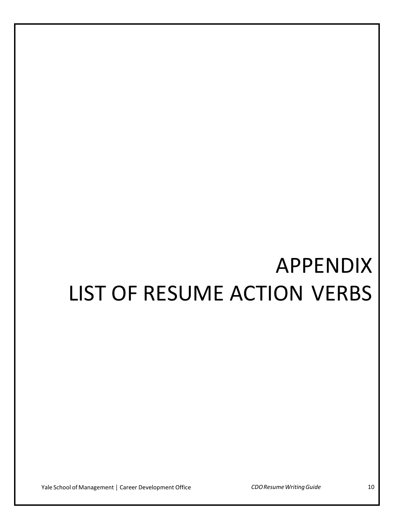# APPENDIX LIST OF RESUME ACTION VERBS

Yale School of Management │ Career Development Office *CDOResumeWritingGuide* 10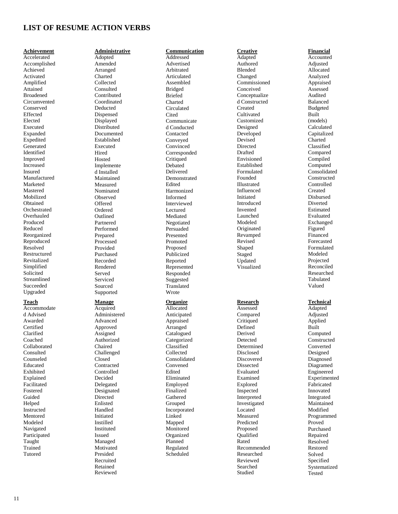#### **LIST OF RESUME ACTION VERBS**

#### **Achievement**

Accelerated Accomplished Achieved Activated Amplified Attained Broadened Circumvented Conserved Effected Elected Executed Expanded Expedited **Generated** Identified Improved Increased Insured Manufactured Marketed Mastered Mobilized Obtained **Orchestrated** Overhauled Produced Reduced Reorganized Reproduced Resolved Restructured Revitalized Simplified Solicited Streamlined Succeeded Upgraded

#### **Teach**

Accommodate d Advised Awarded **Certified** Clarified Coached Collaborated Consulted Counseled Educated Exhibited Explained Facilitated Fostered Guided Helped Instructed Mentored Modeled Navigated Participated Taught Trained Tutored

**Administrative** Adopted Amended Arranged Charted Collected Consulted Contributed Coordinated Deducted Dispensed Displayed Distributed Documented Established Executed Hired Hosted Implemente d Installed Maintained Measured Nominated Observed Offered Ordered Outlined Partnered Performed Prepared Processed Provided Purchased Recorded Rendered Served Serviced Sourced Supported

#### **Manage**

Acquired Administered Advanced Approved Assigned Authorized Chaired Challenged Closed Contracted Controlled Decided Delegated Designated Directed Enlisted Handled Initiated Instilled Instituted Issued Managed Motivated Presided Recruited Retained Reviewed

#### **Communication** Addressed

Advertised Arbitrated Articulated Assembled Bridged Briefed Charted Circulated **Cited** Communicate d Conducted Contacted Conveyed Convinced Corresponded **Critiqued** Debated Delivered Demonstrated Edited Harmonized Informed Interviewed Lectured Mediated Negotiated Persuaded Presented Promoted Proposed Publicized Reported Represented Responded Suggested Translated Wrote

#### **Organize**

Allocated Anticipated Appraised Arranged Catalogued **Categorized** Classified Collected Consolidated Convened Edited Eliminated Employed Finalized Gathered Grouped Incorporated Linked Mapped Monitored Organized Planned Regulated Scheduled

#### **Creative**

Adapted Authored Blended Changed Commissioned Conceived Conceptualize d Constructed Created **Cultivated** Customized Designed Developed Devised Directed Drafted Envisioned Established Formulated Founded Illustrated Influenced Initiated Introduced Invented Launched Modeled Originated Revamped Revised Shaped Staged Updated Visualized

#### **Research**

Assessed Compared **Critiqued** Defined Derived Detected Determined Disclosed Discovered Dissected Evaluated Examined Explored Inspected Interpreted Investigated Located Measured Predicted Proposed Qualified Rated Recommended Researched Reviewed Searched Studied

**Financial** Accounted Adjusted Allocated Analyzed Appraised Assessed Audited Balanced Budgeted Built (models) Calculated Capitalized Charted Classified Compared Compiled Computed Consolidated Constructed Controlled Created Disbursed Diverted Estimated Evaluated Exchanged Figured Financed Forecasted Formulated Modeled Projected Reconciled Researched Tabulated Valued

#### **Technical**

Adapted Adjusted Applied Built Computed **Constructed** Converted Designed Diagnosed Diagramed Engineered Experimented Fabricated Innovated Integrated Maintained Modified Programmed Proved Purchased Repaired Resolved Restored Solved Specified Systematized Tested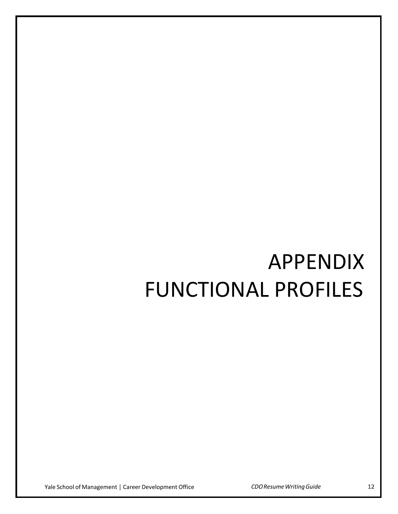# APPENDIX FUNCTIONAL PROFILES

Yale School of Management │ Career Development Office *CDOResumeWritingGuide* 12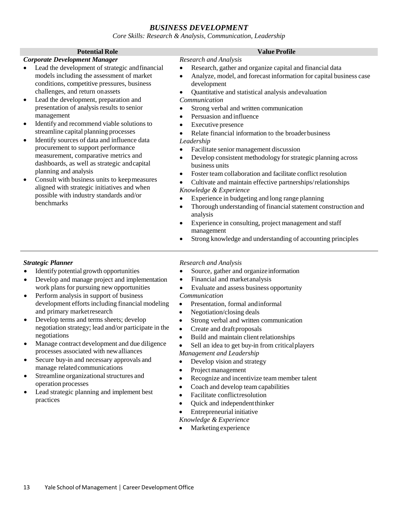#### *BUSINESS DEVELOPMENT*

*Core Skills: Research & Analysis, Communication, Leadership*

#### *Corporate Development Manager*

- Lead the development of strategic andfinancial models including the assessment of market conditions, competitive pressures, business challenges, and return onassets
- Lead the development, preparation and presentation of analysis results to senior management
- Identify and recommend viable solutions to streamline capital planning processes
- Identify sources of data and influence data procurement to support performance measurement, comparative metrics and dashboards, as well as strategic andcapital planning and analysis
- Consult with business units to keepmeasures aligned with strategic initiatives and when possible with industry standards and/or benchmarks

#### **Potential Role Value Profile**

- *Research and Analysis*
- Research, gather and organize capital and financial data • Analyze, model, and forecast information for capital business case development
- Quantitative and statistical analysis andevaluation *Communication*
- Strong verbal and written communication
- Persuasion and influence
- **Executive presence**
- Relate financial information to the broader business *Leadership*
- Facilitate senior management discussion
- Develop consistent methodology for strategic planning across business units
- Foster team collaboration and facilitate conflict resolution
- Cultivate and maintain effective partnerships/relationships *Knowledge & Experience*
- 
- Experience in budgeting and long range planning
- Thorough understanding of financial statement construction and analysis
- Experience in consulting, project management and staff management
- Strong knowledge and understanding of accounting principles

#### *Strategic Planner*

- Identify potential growth opportunities
- Develop and manage project and implementation work plans for pursuing new opportunities
- Perform analysis in support of business development efforts including financial modeling and primary marketresearch
- Develop terms and terms sheets; develop negotiation strategy; lead and/or participate in the negotiations
- Manage contract development and due diligence processes associated with newalliances
- Secure buy-in and necessary approvals and manage related communications
- Streamline organizational structures and operation processes
- Lead strategic planning and implement best practices

#### *Research and Analysis*

- Source, gather and organize information
- Financial and marketanalysis
- Evaluate and assess business opportunity

#### *Communication*

- Presentation, formal andinformal
- Negotiation/closing deals
- Strong verbal and written communication
- Create and draft proposals
- Build and maintain client relationships
- Sell an idea to get buy-in from critical players

#### *Management and Leadership*

- Develop vision and strategy
- Project management
- Recognize and incentivize team member talent
- Coach and develop team capabilities
- Facilitate conflictresolution
- Quick and independentthinker
- Entrepreneurial initiative

#### *Knowledge & Experience*

Marketing experience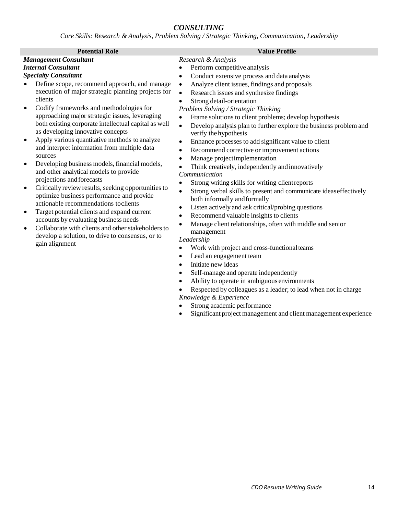### *CONSULTING*

*Core Skills: Research & Analysis, Problem Solving / Strategic Thinking, Communication, Leadership*

| Research & Analysis<br><b>Management Consultant</b><br><b>Internal Consultant</b><br>Perform competitive analysis<br>٠<br><b>Specialty Consultant</b><br>Conduct extensive process and data analysis<br>$\bullet$<br>Define scope, recommend approach, and manage<br>Analyze client issues, findings and proposals<br>$\bullet$<br>execution of major strategic planning projects for<br>Research issues and synthesize findings<br>$\bullet$<br>clients<br>Strong detail-orientation<br>$\bullet$<br>Codify frameworks and methodologies for<br>Problem Solving / Strategic Thinking<br>approaching major strategic issues, leveraging<br>Frame solutions to client problems; develop hypothesis<br>$\bullet$<br>both existing corporate intellectual capital as well<br>Develop analysis plan to further explore the business problem and<br>$\bullet$<br>as developing innovative concepts<br>verify the hypothesis<br>Apply various quantitative methods to analyze<br>Enhance processes to add significant value to client<br>٠<br>and interpret information from multiple data<br>Recommend corrective or improvement actions<br>$\bullet$<br>sources<br>Manage projectimplementation<br>$\bullet$<br>Developing business models, financial models,<br>Think creatively, independently and innovatively<br>and other analytical models to provide<br>Communication<br>projections and forecasts<br>Strong writing skills for writing client reports<br>$\bullet$<br>Critically review results, seeking opportunities to<br>$\bullet$<br>Strong verbal skills to present and communicate ideaseffectively<br>$\bullet$<br>optimize business performance and provide<br>both informally and formally<br>actionable recommendations toclients<br>Listen actively and ask critical/probing questions<br>$\bullet$<br>Target potential clients and expand current<br>$\bullet$<br>Recommend valuable insights to clients<br>$\bullet$<br>accounts by evaluating business needs<br>Manage client relationships, often with middle and senior<br>Collaborate with clients and other stakeholders to<br>management<br>develop a solution, to drive to consensus, or to<br>Leadership<br>gain alignment<br>Work with project and cross-functional teams<br>Lead an engagement team |
|---------------------------------------------------------------------------------------------------------------------------------------------------------------------------------------------------------------------------------------------------------------------------------------------------------------------------------------------------------------------------------------------------------------------------------------------------------------------------------------------------------------------------------------------------------------------------------------------------------------------------------------------------------------------------------------------------------------------------------------------------------------------------------------------------------------------------------------------------------------------------------------------------------------------------------------------------------------------------------------------------------------------------------------------------------------------------------------------------------------------------------------------------------------------------------------------------------------------------------------------------------------------------------------------------------------------------------------------------------------------------------------------------------------------------------------------------------------------------------------------------------------------------------------------------------------------------------------------------------------------------------------------------------------------------------------------------------------------------------------------------------------------------------------------------------------------------------------------------------------------------------------------------------------------------------------------------------------------------------------------------------------------------------------------------------------------------------------------------------------------------------------------------------------------------------------------------------------------------------------------------------------------------------|
| Initiate new ideas<br>$\bullet$<br>Self-manage and operate independently<br>$\bullet$<br>Ability to operate in ambiguous environments<br>$\bullet$<br>Respected by colleagues as a leader; to lead when not in charge<br>Knowledge & Experience<br>Strong academic performance<br>Significant project management and client management experience                                                                                                                                                                                                                                                                                                                                                                                                                                                                                                                                                                                                                                                                                                                                                                                                                                                                                                                                                                                                                                                                                                                                                                                                                                                                                                                                                                                                                                                                                                                                                                                                                                                                                                                                                                                                                                                                                                                               |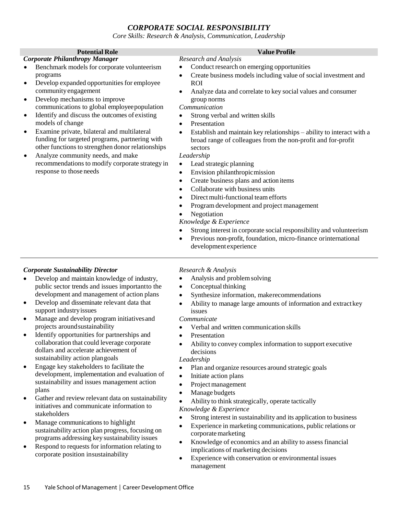#### *CORPORATE SOCIAL RESPONSIBILITY*

*Core Skills: Research & Analysis, Communication, Leadership*

| <b>Potential Role</b>                                      | <b>Value Profile</b>                                                               |
|------------------------------------------------------------|------------------------------------------------------------------------------------|
| <b>Corporate Philanthropy Manager</b>                      | <b>Research and Analysis</b>                                                       |
| Benchmark models for corporate volunteerism                | Conduct research on emerging opportunities                                         |
| programs                                                   | Create business models including value of social investment and<br>$\bullet$       |
| Develop expanded opportunities for employee<br>$\bullet$   | <b>ROI</b>                                                                         |
| community engagement                                       | Analyze data and correlate to key social values and consumer                       |
| Develop mechanisms to improve<br>٠                         | group norms                                                                        |
| communications to global employee population               | Communication                                                                      |
| Identify and discuss the outcomes of existing<br>$\bullet$ | Strong verbal and written skills<br>$\bullet$                                      |
| models of change                                           | Presentation<br>$\bullet$                                                          |
| Examine private, bilateral and multilateral<br>$\bullet$   | Establish and maintain key relationships – ability to interact with a<br>$\bullet$ |
| funding for targeted programs, partnering with             | broad range of colleagues from the non-profit and for-profit                       |
| other functions to strengthen donor relationships          | sectors                                                                            |
| Analyze community needs, and make<br>٠                     | Leadership                                                                         |
| recommendations to modify corporate strategy in            | Lead strategic planning                                                            |
| response to those needs                                    | Envision philanthropic mission<br>$\bullet$                                        |
|                                                            | Create business plans and action items                                             |
|                                                            | Collaborate with business units                                                    |
|                                                            | Direct multi-functional team efforts                                               |
|                                                            | Program development and project management                                         |
|                                                            | Negotiation                                                                        |
|                                                            | Knowledge & Experience                                                             |
|                                                            | Strong interest in corporate social responsibility and volunteerism                |
|                                                            | Previous non-profit, foundation, micro-finance or international                    |
|                                                            | development experience                                                             |

#### *Corporate Sustainability Director*

- Develop and maintain knowledge of industry, public sector trends and issues importantto the development and management of action plans
- Develop and disseminate relevant data that support industryissues
- Manage and develop program initiatives and projects aroundsustainability
- Identify opportunities for partnerships and collaboration that could leverage corporate dollars and accelerate achievement of sustainability action plangoals
- Engage key stakeholders to facilitate the development, implementation and evaluation of sustainability and issues management action plans
- Gather and review relevant data on sustainability initiatives and communicate information to stakeholders
- Manage communications to highlight sustainability action plan progress, focusing on programs addressing key sustainability issues
- Respond to requests for information relating to corporate position insustainability

#### *Research & Analysis*

- Analysis and problemsolving
- Conceptual thinking
- Synthesize information, makerecommendations
- Ability to manage large amounts of information and extractkey issues

#### *Communicate*

- Verbal and written communication skills
- **Presentation**
- Ability to convey complex information to support executive decisions

#### *Leadership*

- Plan and organize resources around strategic goals
- Initiate action plans
- Project management
- Manage budgets
- Ability to think strategically, operate tactically

#### *Knowledge & Experience*

- Strong interest in sustainability and its application to business
- Experience in marketing communications, public relations or corporate marketing
- Knowledge of economics and an ability to assess financial implications of marketing decisions
- Experience with conservation or environmental issues management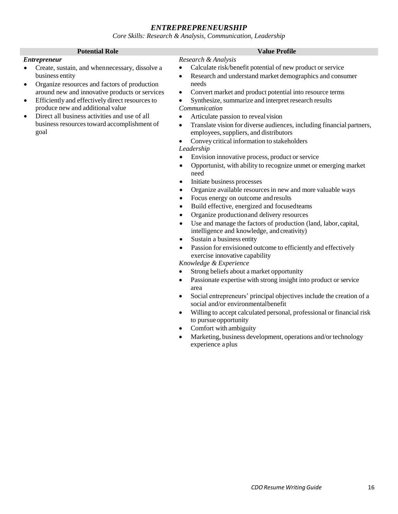### *ENTREPREPRENEURSHIP*

*Core Skills: Research & Analysis, Communication, Leadership*

| <b>Potential Role</b>                                                                                                                                                                                                                                                                                                                                                                                            | <b>Value Profile</b>                                                                                                                                                                                                                                                                                                                                                                                                                                                                                                                                                                                                                                                                                                                                                                                                                                                                                                                                                                                                                                                                                                                                                                                                                                                                                                                                                                                                                                                                                                                                                                                                                                                                                                                                                                                                       |
|------------------------------------------------------------------------------------------------------------------------------------------------------------------------------------------------------------------------------------------------------------------------------------------------------------------------------------------------------------------------------------------------------------------|----------------------------------------------------------------------------------------------------------------------------------------------------------------------------------------------------------------------------------------------------------------------------------------------------------------------------------------------------------------------------------------------------------------------------------------------------------------------------------------------------------------------------------------------------------------------------------------------------------------------------------------------------------------------------------------------------------------------------------------------------------------------------------------------------------------------------------------------------------------------------------------------------------------------------------------------------------------------------------------------------------------------------------------------------------------------------------------------------------------------------------------------------------------------------------------------------------------------------------------------------------------------------------------------------------------------------------------------------------------------------------------------------------------------------------------------------------------------------------------------------------------------------------------------------------------------------------------------------------------------------------------------------------------------------------------------------------------------------------------------------------------------------------------------------------------------------|
| <b>Entrepreneur</b><br>Create, sustain, and whennecessary, dissolve a<br>business entity<br>Organize resources and factors of production<br>٠<br>around new and innovative products or services<br>Efficiently and effectively direct resources to<br>٠<br>produce new and additional value<br>Direct all business activities and use of all<br>$\bullet$<br>business resources toward accomplishment of<br>goal | Research & Analysis<br>Calculate risk/benefit potential of new product or service<br>٠<br>Research and understand market demographics and consumer<br>$\bullet$<br>needs<br>Convert market and product potential into resource terms<br>$\bullet$<br>Synthesize, summarize and interpret research results<br>$\bullet$<br>Communication<br>Articulate passion to reveal vision<br>٠<br>Translate vision for diverse audiences, including financial partners,<br>$\bullet$<br>employees, suppliers, and distributors<br>Convey critical information to stakeholders<br>$\bullet$<br>Leadership<br>Envision innovative process, product or service<br>$\bullet$<br>Opportunist, with ability to recognize unmet or emerging market<br>$\bullet$<br>need<br>Initiate business processes<br>$\bullet$<br>Organize available resources in new and more valuable ways<br>$\bullet$<br>Focus energy on outcome and results<br>$\bullet$<br>Build effective, energized and focused teams<br>Organize production and delivery resources<br>Use and manage the factors of production (land, labor, capital,<br>$\bullet$<br>intelligence and knowledge, and creativity)<br>Sustain a business entity<br>$\bullet$<br>Passion for envisioned outcome to efficiently and effectively<br>$\bullet$<br>exercise innovative capability<br>Knowledge & Experience<br>Strong beliefs about a market opportunity<br>Passionate expertise with strong insight into product or service<br>٠<br>area<br>Social entrepreneurs' principal objectives include the creation of a<br>٠<br>social and/or environmental benefit<br>Willing to accept calculated personal, professional or financial risk<br>٠<br>to pursue opportunity<br>Comfort with ambiguity<br>Marketing, business development, operations and/or technology<br>experience a plus |
|                                                                                                                                                                                                                                                                                                                                                                                                                  |                                                                                                                                                                                                                                                                                                                                                                                                                                                                                                                                                                                                                                                                                                                                                                                                                                                                                                                                                                                                                                                                                                                                                                                                                                                                                                                                                                                                                                                                                                                                                                                                                                                                                                                                                                                                                            |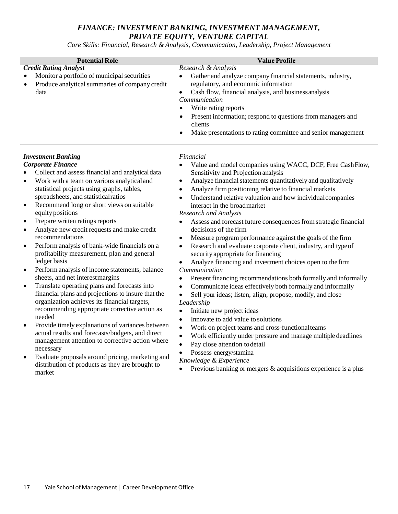### *FINANCE: INVESTMENT BANKING, INVESTMENT MANAGEMENT, PRIVATE EQUITY, VENTURE CAPITAL*

*Core Skills: Financial, Research & Analysis, Communication, Leadership, Project Management*

| <b>Potential Role</b>                                                                                                                                                                                                                                                                                                                                                                                                                                                                                                                                                                                                                                                                                                                                                                                                                                                                                                                                                                                                                                                                                                                                                                                                                       | <b>Value Profile</b>                                                                                                                                                                                                                                                                                                                                                                                                                                                                                                                                                                                                                                                                                                                                                                                                                                                                                                                                                                                                                                                                                                                                                                                                                                                                                                                                                                                                                                                     |
|---------------------------------------------------------------------------------------------------------------------------------------------------------------------------------------------------------------------------------------------------------------------------------------------------------------------------------------------------------------------------------------------------------------------------------------------------------------------------------------------------------------------------------------------------------------------------------------------------------------------------------------------------------------------------------------------------------------------------------------------------------------------------------------------------------------------------------------------------------------------------------------------------------------------------------------------------------------------------------------------------------------------------------------------------------------------------------------------------------------------------------------------------------------------------------------------------------------------------------------------|--------------------------------------------------------------------------------------------------------------------------------------------------------------------------------------------------------------------------------------------------------------------------------------------------------------------------------------------------------------------------------------------------------------------------------------------------------------------------------------------------------------------------------------------------------------------------------------------------------------------------------------------------------------------------------------------------------------------------------------------------------------------------------------------------------------------------------------------------------------------------------------------------------------------------------------------------------------------------------------------------------------------------------------------------------------------------------------------------------------------------------------------------------------------------------------------------------------------------------------------------------------------------------------------------------------------------------------------------------------------------------------------------------------------------------------------------------------------------|
| <b>Credit Rating Analyst</b><br>Monitor a portfolio of municipal securities<br>Produce analytical summaries of company credit<br>data                                                                                                                                                                                                                                                                                                                                                                                                                                                                                                                                                                                                                                                                                                                                                                                                                                                                                                                                                                                                                                                                                                       | Research & Analysis<br>Gather and analyze company financial statements, industry,<br>$\bullet$<br>regulatory, and economic information<br>Cash flow, financial analysis, and business analysis<br>$\bullet$<br>Communication<br>Write rating reports<br>$\bullet$<br>Present information; respond to questions from managers and<br>$\bullet$<br>clients<br>Make presentations to rating committee and senior management<br>$\bullet$                                                                                                                                                                                                                                                                                                                                                                                                                                                                                                                                                                                                                                                                                                                                                                                                                                                                                                                                                                                                                                    |
| <b>Investment Banking</b><br><b>Corporate Finance</b><br>Collect and assess financial and analytical data<br>Work with a team on various analytical and<br>$\bullet$<br>statistical projects using graphs, tables,<br>spreadsheets, and statistical ratios<br>Recommend long or short views on suitable<br>$\bullet$<br>equity positions<br>Prepare written ratings reports<br>$\bullet$<br>Analyze new credit requests and make credit<br>$\bullet$<br>recommendations<br>Perform analysis of bank-wide financials on a<br>$\bullet$<br>profitability measurement, plan and general<br>ledger basis<br>Perform analysis of income statements, balance<br>$\bullet$<br>sheets, and net interest margins<br>Translate operating plans and forecasts into<br>$\bullet$<br>financial plans and projections to insure that the<br>organization achieves its financial targets,<br>recommending appropriate corrective action as<br>needed<br>Provide timely explanations of variances between<br>$\bullet$<br>actual results and forecasts/budgets, and direct<br>management attention to corrective action where<br>necessary<br>Evaluate proposals around pricing, marketing and<br>distribution of products as they are brought to<br>market | Financial<br>Value and model companies using WACC, DCF, Free CashFlow,<br>Sensitivity and Projection analysis<br>Analyze financial statements quantitatively and qualitatively<br>$\bullet$<br>Analyze firm positioning relative to financial markets<br>$\bullet$<br>Understand relative valuation and how individual companies<br>$\bullet$<br>interact in the broad market<br><b>Research and Analysis</b><br>Assess and forecast future consequences from strategic financial<br>decisions of the firm<br>Measure program performance against the goals of the firm<br>$\bullet$<br>Research and evaluate corporate client, industry, and type of<br>$\bullet$<br>security appropriate for financing<br>Analyze financing and investment choices open to the firm<br>Communication<br>Present financing recommendations both formally and informally<br>$\bullet$<br>Communicate ideas effectively both formally and informally<br>$\bullet$<br>Sell your ideas; listen, align, propose, modify, and close<br>$\bullet$<br>Leadership<br>Initiate new project ideas<br>$\bullet$<br>Innovate to add value to solutions<br>$\bullet$<br>Work on project teams and cross-functional teams<br>$\bullet$<br>Work efficiently under pressure and manage multiple deadlines<br>$\bullet$<br>Pay close attention to detail<br>Possess energy/stamina<br>$\bullet$<br>Knowledge & Experience<br>Previous banking or mergers & acquisitions experience is a plus<br>$\bullet$ |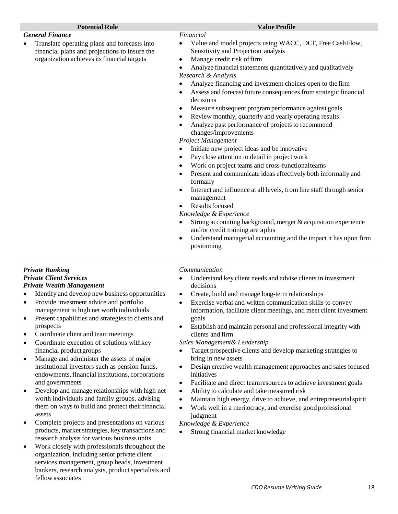#### *General Finance*

• Translate operating plans and forecasts into financial plans and projections to insure the organization achieves its financial targets

#### *Financial*

- Value and model projects using WACC, DCF, Free Cash Flow, Sensitivity and Projection analysis
- Manage credit risk offirm

Analyze financial statements quantitatively and qualitatively *Research & Analysis*

- Analyze financing and investment choices open to the firm
- Assess and forecast future consequences from strategic financial decisions
- Measure subsequent program performance against goals
- Review monthly, quarterly and yearly operating results
- Analyze past performance of projects to recommend changes/improvements

*Project Management*

- Initiate new project ideas and be innovative
- Pay close attention to detail in project work
- Work on project teams and cross-functionalteams
- Present and communicate ideas effectively both informally and formally
- Interact and influence at all levels, from line staff through senior management
- **Results focused**

*Knowledge & Experience*

- Strong accounting background, merger & acquisition experience and/or credit training are aplus
- Understand managerial accounting and the impact it has upon firm positioning

#### *Private Banking Private Client Services Private Wealth Management*

- Identify and develop new business opportunities
- Provide investment advice and portfolio management to high net worth individuals
- Present capabilities and strategies to clients and prospects
- Coordinate client and team meetings
- Coordinate execution of solutions withkey financial productgroups
- Manage and administer the assets of major institutional investors such as pension funds, endowments,financial institutions, corporations and governments
- Develop and manage relationships with high net worth individuals and family groups, advising them on ways to build and protect theirfinancial assets
- Complete projects and presentations on various products, market strategies, key transactions and research analysis for various business units
- Work closely with professionals throughout the organization, including senior private client services management, group heads, investment bankers, research analysts, product specialists and fellow associates

#### *Communication*

- Understand key client needs and advise clients in investment decisions
- Create, build and manage long-termrelationships
- Exercise verbal and written communication skills to convey information, facilitate client meetings, and meet client investment goals
- Establish and maintain personal and professional integrity with clients and firm

*Sales Management& Leadership*

- Target prospective clients and develop marketing strategies to bring in new assets
- Design creative wealth management approaches and sales focused initiatives
- Facilitate and direct teamresources to achieve investment goals
- Ability to calculate and take measured risk
- Maintain high energy, drive to achieve, and entrepreneurial spirit
- Work well in a meritocracy, and exercise good professional judgment

*Knowledge & Experience*

• Strong financial market knowledge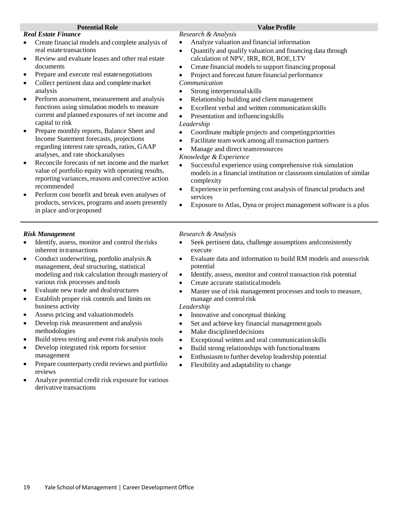#### *Real Estate Finance*

- Create financial models and complete analysis of real estate transactions
- Review and evaluate leases and other real estate documents
- Prepare and execute real estatenegotiations
- Collect pertinent data and complete market analysis
- Perform assessment, measurement and analysis functions using simulation models to measure current and planned exposures of net income and capital to risk
- Prepare monthly reports, Balance Sheet and Income Statement forecasts, projections regarding interest rate spreads, ratios, GAAP analyses, and rate shockanalyses
- Reconcile forecasts of net income and the market value of portfolio equity with operating results, reporting variances, reasons and corrective action recommended
- Perform cost benefit and break even analyses of products, services, programs and assets presently in place and/orproposed

#### *Risk Management*

- Identify, assess, monitor and control the risks inherent intransactions
- Conduct underwriting, portfolio analysis  $\&$ management, deal structuring, statistical modeling and risk calculation through mastery of various risk processes andtools
- Evaluate new trade and dealstructures
- Establish proper risk controls and limits on business activity
- Assess pricing and valuationmodels
- Develop risk measurement and analysis methodologies
- Build stress testing and event risk analysis tools
- Develop integrated risk reports forsenior management
- Prepare counterparty credit reviews and portfolio reviews
- Analyze potential credit risk exposure for various derivative transactions

#### *Research & Analysis*

- Analyze valuation and financial information
- Quantify and qualify valuation and financing data through calculation of NPV, IRR, ROI, ROE,LTV
- Create financial models to support financing proposal
- Project and forecast future financial performance *Communication*
- Strong interpersonal skills
- Relationship building and client management
- Excellent verbal and written communicationskills
- Presentation and influencingskills

#### *Leadership*

- Coordinate multiple projects and competingpriorities
- Facilitate teamwork among all transaction partners
- Manage and direct teamresources

#### *Knowledge & Experience*

- Successful experience using comprehensive risk simulation models in a financial institution or classroom simulation of similar complexity
- Experience in performing cost analysis of financial products and services
- Exposure to Atlas, Dyna or project management software is a plus

#### *Research & Analysis*

- Seek pertinent data, challenge assumptions andconsistently execute
- Evaluate data and information to build RM models and assessrisk potential
- Identify, assess, monitor and control transaction risk potential
- Create accurate statisticalmodels
- Master use of risk management processes and tools to measure, manage and control risk

#### *Leadership*

- Innovative and conceptual thinking
- Set and achieve key financial management goals
- Make disciplined decisions
- Exceptional written and oral communicationskills
- Build strong relationships with functionalteams
- Enthusiasmto further develop leadership potential
- Flexibility and adaptability to change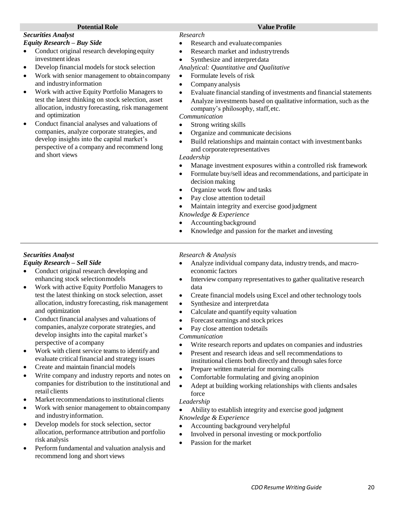#### *Securities Analyst Equity Research – Buy Side*

- Conduct original research developing equity investment ideas
- Develop financial models for stock selection
- Work with senior management to obtain company and industryinformation
- Work with active Equity Portfolio Managers to test the latest thinking on stock selection, asset allocation, industry forecasting, risk management and optimization
- Conduct financial analyses and valuations of companies, analyze corporate strategies, and develop insights into the capital market's perspective of a company and recommend long and short views

#### *Research*

- Research and evaluate companies
- Research market and industrytrends
- Synthesize and interpret data

*Analytical: Quantitative and Qualitative*

- Formulate levels of risk
- Company analysis
- Evaluate financial standing of investments and financial statements
- Analyze investments based on qualitative information, such as the company's philosophy, staff,etc.

### *Communication*

- Strong writing skills
- Organize and communicate decisions
- Build relationships and maintain contact with investment banks and corporaterepresentatives

#### *Leadership*

- Manage investment exposures within a controlled risk framework
- Formulate buy/sell ideas and recommendations, and participate in decision making
- Organize work flow and tasks
- Pay close attention to detail
- Maintain integrity and exercise good judgment
- *Knowledge & Experience*
- Accounting background
- Knowledge and passion for the market and investing

#### *Securities Analyst*

#### *Equity Research – Sell Side*

- Conduct original research developing and enhancing stock selectionmodels
- Work with active Equity Portfolio Managers to test the latest thinking on stock selection, asset allocation, industry forecasting, risk management and optimization
- Conduct financial analyses and valuations of companies, analyze corporate strategies, and develop insights into the capital market's perspective of a company
- Work with client service teams to identify and evaluate critical financial and strategy issues
- Create and maintain financial models
- Write company and industry reports and notes on companies for distribution to the institutional and retail clients
- Market recommendations to institutional clients
- Work with senior management to obtain company and industryinformation.
- Develop models for stock selection, sector allocation, performance attribution and portfolio risk analysis
- Perform fundamental and valuation analysis and recommend long and short views

#### *Research & Analysis*

- Analyze individual company data, industry trends, and macroeconomic factors
- Interview company representatives to gather qualitative research data
- Create financial models using Excel and other technology tools
- Synthesize and interpret data
- Calculate and quantify equity valuation
- Forecast earnings and stock prices
- Pay close attention todetails

#### *Communication*

- Write research reports and updates on companies and industries
- Present and research ideas and sell recommendations to institutional clients both directly and through sales force
- Prepare written material for morning calls
- Comfortable formulating and giving anopinion
- Adept at building working relationships with clients andsales force

#### *Leadership*

• Ability to establish integrity and exercise good judgment *Knowledge & Experience*

- Accounting background veryhelpful
- Involved in personal investing or mock portfolio
- Passion for the market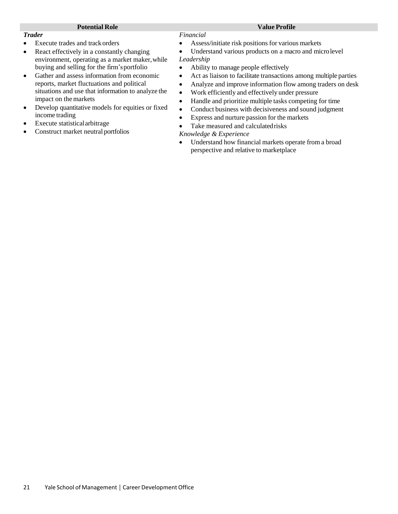#### *Trader*

- Execute trades and track orders
- React effectively in a constantly changing environment, operating as a market maker,while buying and selling for the firm'sportfolio
- Gather and assess information from economic reports, market fluctuations and political situations and use that information to analyze the impact on the markets
- Develop quantitative models for equities or fixed income trading
- Execute statistical arbitrage
- Construct market neutral portfolios

#### *Financial*

- Assess/initiate risk positions for various markets
- Understand various products on a macro and microlevel *Leadership*
- Ability to manage people effectively
- Act as liaison to facilitate transactions among multiple parties
- Analyze and improve information flow among traders on desk
- Work efficiently and effectively under pressure
- Handle and prioritize multiple tasks competing for time
- Conduct business with decisiveness and sound judgment
- Express and nurture passion for the markets
- Take measured and calculatedrisks

#### *Knowledge & Experience*

• Understand how financial markets operate from a broad perspective and relative to marketplace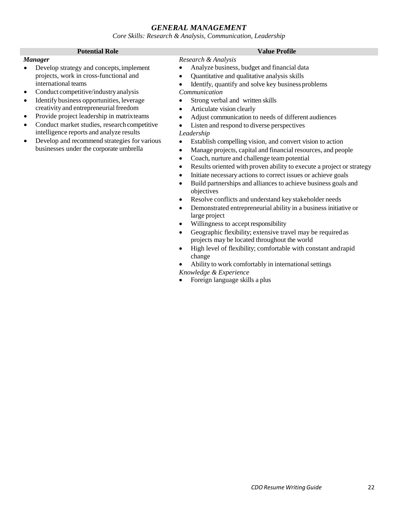#### *GENERAL MANAGEMENT*

*Core Skills: Research & Analysis, Communication, Leadership*

#### **Potential Role Value Profile** *Manager* • Develop strategy and concepts, implement projects, work in cross-functional and *Research & Analysis* • Analyze business, budget and financial data

international teams

• Conduct competitive/industry analysis • Identify business opportunities, leverage creativity and entrepreneurial freedom Provide project leadership in matrixteams • Conduct market studies, research competitive intelligence reports and analyze results • Develop and recommend strategies for various businesses under the corporate umbrella

- Quantitative and qualitative analysis skills
	- Identify, quantify and solve key business problems
- *Communication*
- Strong verbal and written skills
- Articulate vision clearly
- Adjust communication to needs of different audiences
- Listen and respond to diverse perspectives

#### *Leadership*

- Establish compelling vision, and convert vision to action
- Manage projects, capital and financial resources, and people
- Coach, nurture and challenge team potential
- Results oriented with proven ability to execute a project or strategy
- Initiate necessary actions to correct issues or achieve goals
- Build partnerships and alliances to achieve business goals and objectives
- Resolve conflicts and understand key stakeholder needs
- Demonstrated entrepreneurial ability in a business initiative or large project
- Willingness to accept responsibility
- Geographic flexibility; extensive travel may be required as projects may be located throughout the world
- High level of flexibility; comfortable with constant andrapid change
- Ability to work comfortably in international settings *Knowledge & Experience*
- Foreign language skills a plus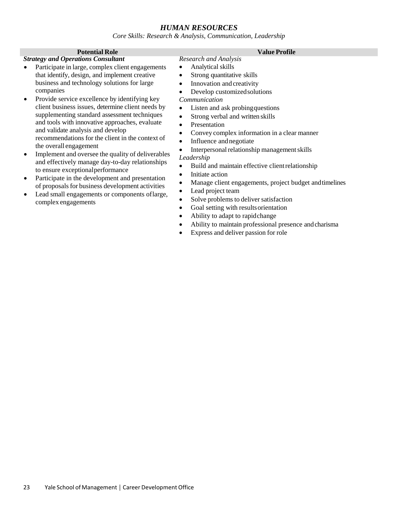#### *HUMAN RESOURCES*

*Core Skills: Research & Analysis, Communication, Leadership*

#### **Potential Role Value Profile**

#### *Strategy and Operations Consultant*

- Participate in large, complex client engagements that identify, design, and implement creative business and technology solutions for large companies
- Provide service excellence by identifying key client business issues, determine client needs by supplementing standard assessment techniques and tools with innovative approaches, evaluate and validate analysis and develop recommendations for the client in the context of the overall engagement
- Implement and oversee the quality of deliverables and effectively manage day-to-day relationships to ensure exceptionalperformance
- Participate in the development and presentation of proposals for business development activities
- Lead small engagements or components oflarge, complex engagements

- *Research and Analysis*
- Analytical skills
- Strong quantitative skills
- Innovation and creativity
- Develop customizedsolutions

#### *Communication*

- Listen and ask probingquestions
- Strong verbal and written skills
- **Presentation**
- Convey complex information in a clear manner
- Influence and negotiate
- Interpersonal relationship management skills

#### *Leadership*

- Build and maintain effective clientrelationship
- Initiate action
- Manage client engagements, project budget andtimelines
- Lead project team
- Solve problems to deliver satisfaction
- Goal setting with results orientation
- Ability to adapt to rapidchange
- Ability to maintain professional presence andcharisma
- Express and deliver passion for role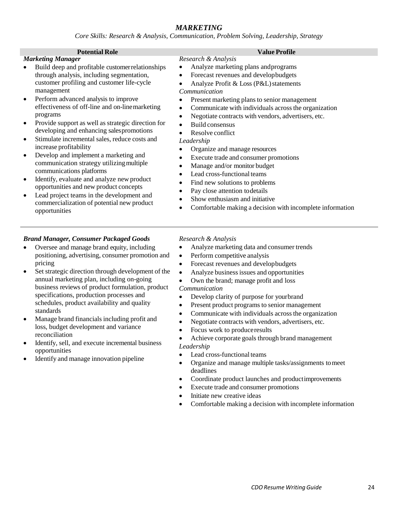#### *MARKETING*

*Core Skills: Research & Analysis, Communication, Problem Solving, Leadership, Strategy*

*Research & Analysis*

#### **Potential Role Value Profile**

#### *Marketing Manager*

- Build deep and profitable customerrelationships through analysis, including segmentation, customer profiling and customer life-cycle management
- Perform advanced analysis to improve effectiveness of off-line and on-linemarketing programs
- Provide support as well as strategic direction for developing and enhancing salespromotions
- Stimulate incremental sales, reduce costs and increase profitability
- Develop and implement a marketing and communication strategy utilizingmultiple communications platforms
- Identify, evaluate and analyze new product opportunities and new product concepts
- Lead project teams in the development and commercialization of potential new product opportunities

#### *Brand Manager, Consumer Packaged Goods*

- Oversee and manage brand equity, including positioning, advertising, consumer promotion and pricing
- Set strategic direction through development of the annual marketing plan, including on-going business reviews of product formulation, product specifications, production processes and schedules, product availability and quality standards
- Manage brand financials including profit and loss, budget development and variance reconciliation
- Identify, sell, and execute incremental business opportunities
- Identify and manage innovation pipeline

- Analyze marketing plans and programs
- Forecast revenues and developbudgets
- Analyze Profit  $&$  Loss (P&L) statements

#### *Communication*

- Present marketing plans to senior management
- Communicate with individuals across the organization
- Negotiate contracts with vendors, advertisers, etc.
- Build consensus
- Resolve conflict

#### *Leadership*

- Organize and manage resources
- Execute trade and consumer promotions
- Manage and/or monitor budget
- Lead cross-functional teams
- Find new solutions to problems
- Pay close attention to details
- Show enthusiasm and initiative
- Comfortable making a decision with incomplete information

#### *Research & Analysis*

- Analyze marketing data and consumer trends
- Perform competitive analysis
- Forecast revenues and developbudgets
- Analyze business issues and opportunities
- Own the brand; manage profit and loss *Communication*
- Develop clarity of purpose for yourbrand
- Present product programs to senior management
- Communicate with individuals across the organization
- Negotiate contracts with vendors, advertisers, etc.
- Focus work to produceresults
- Achieve corporate goals through brand management *Leadership*
- Lead cross-functional teams
- Organize and manage multiple tasks/assignments tomeet deadlines
- Coordinate product launches and productimprovements
- Execute trade and consumer promotions
- Initiate new creative ideas
- Comfortable making a decision with incomplete information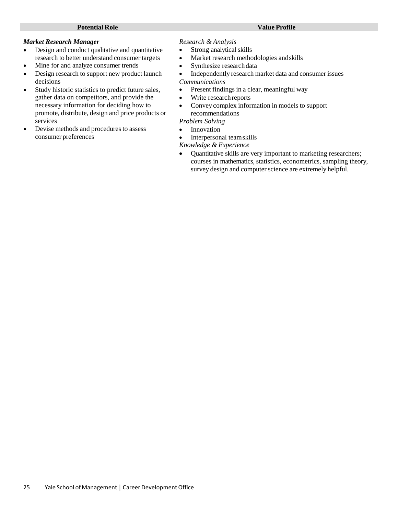#### *Market Research Manager*

- Design and conduct qualitative and quantitative research to better understand consumer targets
- Mine for and analyze consumer trends
- Design research to support new product launch decisions
- Study historic statistics to predict future sales, gather data on competitors, and provide the necessary information for deciding how to promote, distribute, design and price products or services
- Devise methods and procedures to assess consumer preferences

#### *Research & Analysis*

- Strong analytical skills
- Market research methodologies andskills
- Synthesize research data
- Independently research market data and consumer issues

#### *Communications*

- Present findings in a clear, meaningful way
- Write research reports
- Convey complex information in models to support recommendations

#### *Problem Solving*

- Innovation
- Interpersonal teamskills

*Knowledge & Experience*

• Quantitative skills are very important to marketing researchers; courses in mathematics, statistics, econometrics, sampling theory, survey design and computer science are extremely helpful.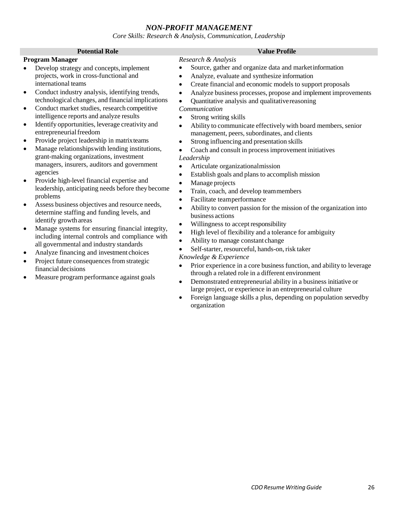#### *NON-PROFIT MANAGEMENT*

*Core Skills: Research & Analysis, Communication, Leadership*

| <b>Potential Role</b>                                                                                                                                                                                                                                                                                                                                                                                                                                                                                                                                                                                                                                                                                                                                                                                                                                                                                                                                                                                                                                                                                                                                                                                        | <b>Value Profile</b>                                                                                                                                                                                                                                                                                                                                                                                                                                                                                                                                                                                                                                                                                                                                                                                                                                                                                                                                                                                                                                                                                                                                                                                                                                                                                                                                                                                                                                                                                                                                                                                                                                                                              |
|--------------------------------------------------------------------------------------------------------------------------------------------------------------------------------------------------------------------------------------------------------------------------------------------------------------------------------------------------------------------------------------------------------------------------------------------------------------------------------------------------------------------------------------------------------------------------------------------------------------------------------------------------------------------------------------------------------------------------------------------------------------------------------------------------------------------------------------------------------------------------------------------------------------------------------------------------------------------------------------------------------------------------------------------------------------------------------------------------------------------------------------------------------------------------------------------------------------|---------------------------------------------------------------------------------------------------------------------------------------------------------------------------------------------------------------------------------------------------------------------------------------------------------------------------------------------------------------------------------------------------------------------------------------------------------------------------------------------------------------------------------------------------------------------------------------------------------------------------------------------------------------------------------------------------------------------------------------------------------------------------------------------------------------------------------------------------------------------------------------------------------------------------------------------------------------------------------------------------------------------------------------------------------------------------------------------------------------------------------------------------------------------------------------------------------------------------------------------------------------------------------------------------------------------------------------------------------------------------------------------------------------------------------------------------------------------------------------------------------------------------------------------------------------------------------------------------------------------------------------------------------------------------------------------------|
| <b>Program Manager</b>                                                                                                                                                                                                                                                                                                                                                                                                                                                                                                                                                                                                                                                                                                                                                                                                                                                                                                                                                                                                                                                                                                                                                                                       | Research & Analysis                                                                                                                                                                                                                                                                                                                                                                                                                                                                                                                                                                                                                                                                                                                                                                                                                                                                                                                                                                                                                                                                                                                                                                                                                                                                                                                                                                                                                                                                                                                                                                                                                                                                               |
| Develop strategy and concepts, implement<br>projects, work in cross-functional and<br>international teams<br>Conduct industry analysis, identifying trends,<br>technological changes, and financial implications<br>Conduct market studies, research competitive<br>intelligence reports and analyze results<br>Identify opportunities, leverage creativity and<br>$\bullet$<br>entrepreneurial freedom<br>Provide project leadership in matrix teams<br>$\bullet$<br>Manage relationships with lending institutions,<br>$\bullet$<br>grant-making organizations, investment<br>managers, insurers, auditors and government<br>agencies<br>Provide high-level financial expertise and<br>leadership, anticipating needs before they become<br>problems<br>Assess business objectives and resource needs,<br>$\bullet$<br>determine staffing and funding levels, and<br>identify growth areas<br>Manage systems for ensuring financial integrity,<br>including internal controls and compliance with<br>all governmental and industry standards<br>Analyze financing and investment choices<br>Project future consequences from strategic<br>financial decisions<br>Measure program performance against goals | Source, gather and organize data and market information<br>$\bullet$<br>Analyze, evaluate and synthesize information<br>$\bullet$<br>Create financial and economic models to support proposals<br>$\bullet$<br>Analyze business processes, propose and implement improvements<br>$\bullet$<br>Quantitative analysis and qualitative reasoning<br>$\bullet$<br>Communication<br>Strong writing skills<br>$\bullet$<br>Ability to communicate effectively with board members, senior<br>$\bullet$<br>management, peers, subordinates, and clients<br>Strong influencing and presentation skills<br>$\bullet$<br>Coach and consult in process improvement initiatives<br>Leadership<br>Articulate organizationalmission<br>$\bullet$<br>Establish goals and plans to accomplish mission<br>$\bullet$<br>Manage projects<br>$\bullet$<br>Train, coach, and develop teammembers<br>$\bullet$<br>Facilitate teamperformance<br>$\bullet$<br>Ability to convert passion for the mission of the organization into<br>$\bullet$<br>business actions<br>Willingness to accept responsibility<br>$\bullet$<br>High level of flexibility and a tolerance for ambiguity<br>$\bullet$<br>Ability to manage constant change<br>$\bullet$<br>Self-starter, resourceful, hands-on, risk taker<br>Knowledge & Experience<br>Prior experience in a core business function, and ability to leverage<br>$\bullet$<br>through a related role in a different environment<br>Demonstrated entrepreneurial ability in a business initiative or<br>$\bullet$<br>large project, or experience in an entrepreneurial culture<br>Foreign language skills a plus, depending on population servedby<br>$\bullet$<br>organization |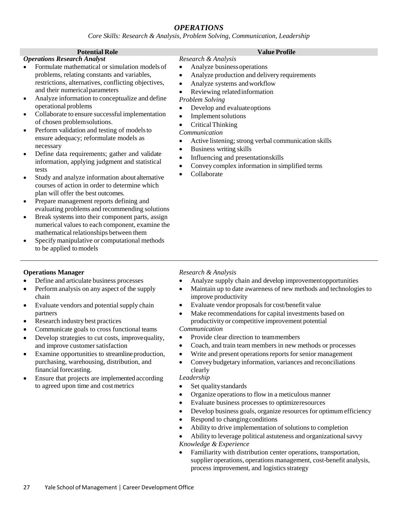### *OPERATIONS*

*Core Skills: Research & Analysis, Problem Solving, Communication, Leadership*

#### *Operations Research Analyst*

- Formulate mathematical or simulation models of problems, relating constants and variables, restrictions, alternatives, conflicting objectives, and their numericalparameters
- Analyze information to conceptualize and define operational problems
- Collaborate to ensure successful implementation of chosen problemsolutions.
- Perform validation and testing of models to ensure adequacy; reformulate models as necessary
- Define data requirements; gather and validate information, applying judgment and statistical tests
- Study and analyze information about alternative courses of action in order to determine which plan will offer the best outcomes.
- Prepare management reports defining and evaluating problems and recommending solutions
- Break systems into their component parts, assign numerical values to each component, examine the mathematical relationships between them
- Specify manipulative or computational methods to be applied tomodels

#### **Potential Role Value Profile**

- *Research & Analysis* • Analyze business operations
- Analyze production and delivery requirements
- Analyze systems andworkflow
- Reviewing relatedinformation

#### *Problem Solving*

- Develop and evaluateoptions
- Implement solutions
- CriticalThinking

#### *Communication*

- Active listening; strong verbal communication skills
- Business writing skills
- Influencing and presentationskills
- Convey complex information in simplified terms
- Collaborate

#### **Operations Manager**

- Define and articulate business processes
- Perform analysis on any aspect of the supply chain
- Evaluate vendors and potential supply chain partners

• Communicate goals to cross functional teams • Develop strategies to cut costs, improvequality,

Examine opportunities to streamline production,

• Research industry best practices

financial forecasting.

and improve customer satisfaction

to agreed upon time and costmetrics

- -
	- Coach, and train team members in new methods or processes
	- Write and present operations reports for senior management
	- Convey budgetary information, variances and reconciliations clearly

#### *Leadership*

- Set quality standards
- Organize operations to flow in a meticulous manner
- Evaluate business processes to optimizeresources
- Develop business goals, organize resources for optimumefficiency
- Respond to changingconditions
	- Ability to drive implementation of solutions to completion
- Ability to leverage political astuteness and organizational savvy
- Familiarity with distribution center operations, transportation, supplier operations, operations management, cost-benefit analysis, process improvement, and logistics strategy

### *Research & Analysis*

- Analyze supply chain and develop improvementopportunities
- Maintain up to date awareness of new methods and technologies to improve productivity
- Evaluate vendor proposals for cost/benefit value
- Make recommendations for capital investments based on productivity or competitive improvement potential

#### *Communication*

- Provide clear direction to teammembers
- 
- 
- purchasing, warehousing, distribution, and • Ensure that projects are implemented according

- 
- 
- 

- -

# *Knowledge & Experience*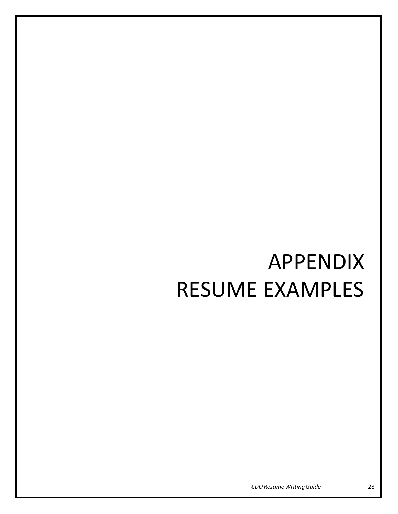# APPENDIX RESUME EXAMPLES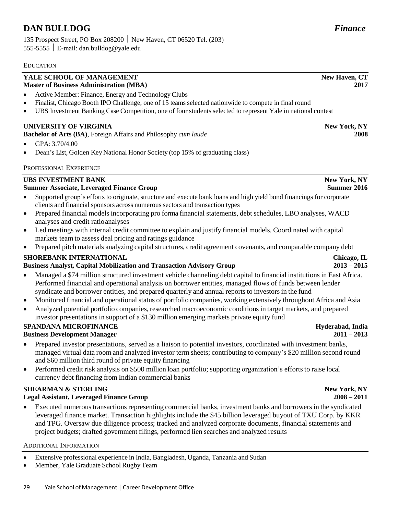### **DAN BULLDOG** *Finance*

135 Prospect Street, PO Box 208200 New Haven, CT 06520 Tel. (203) 555-5555 E-mail: [dan.bulldog@yale.edu](mailto:dan.bulldog@yale.edu)

#### EDUCATION

#### **YALE SCHOOL OF MANAGEMENT Master of Business Administration (MBA)**

- Active Member: Finance, Energy and Technology Clubs
- Finalist, Chicago Booth IPO Challenge, one of 15 teamsselected nationwide to compete in final round
- UBS Investment Banking Case Competition, one of four students selected to represent Yale in national contest

#### **UNIVERSITY OF VIRGINIA**

**Bachelor of Arts (BA)**, Foreign Affairs and Philosophy *cum laude*

- GPA:  $3.70/4.00$
- Dean's List, Golden Key National Honor Society (top 15% of graduating class)

#### PROFESSIONAL EXPERIENCE

#### **UBS INVESTMENT BANK**

#### **Summer Associate, Leveraged Finance Group**

- Supported group's efforts to originate, structure and execute bank loans and high yield bond financings for corporate clients and financial sponsors across numerous sectors and transaction types
- Prepared financial models incorporating pro forma financial statements, debt schedules, LBO analyses, WACD analyses and credit ratioanalyses
- Led meetings with internal credit committee to explain and justify financial models. Coordinated with capital markets team to assess deal pricing and ratings guidance
- Prepared pitch materials analyzing capital structures, credit agreement covenants, and comparable company debt

#### **SHOREBANK INTERNATIONAL**

#### **Business Analyst, Capital Mobilization and Transaction Advisory Group**

- Managed a \$74 million structured investment vehicle channeling debt capital to financial institutions in East Africa. Performed financial and operational analysis on borrower entities, managed flows of funds between lender syndicate and borrower entities, and prepared quarterly and annual reports to investors in the fund
- Monitored financial and operational status of portfolio companies, working extensively throughout Africa and Asia
- Analyzed potential portfolio companies, researched macroeconomic conditions in target markets, and prepared investor presentations in support of a \$130 million emerging markets private equity fund

#### **SPANDANA MICROFINANCE**

#### **Business Development Manager**

- Prepared investor presentations, served as a liaison to potential investors, coordinated with investment banks, managed virtual data room and analyzed investor term sheets; contributing to company's \$20 million second round and \$60 million third round of private equity financing
- Performed credit risk analysis on \$500 million loan portfolio; supporting organization's efforts to raise local currency debt financing from Indian commercial banks

#### **SHEARMAN & STERLING**

#### **Legal Assistant, Leveraged Finance Group**

• Executed numerous transactions representing commercial banks, investment banks and borrowers in the syndicated leveraged finance market. Transaction highlights include the \$45 billion leveraged buyout of TXU Corp. by KKR and TPG. Oversaw due diligence process; tracked and analyzed corporate documents, financial statements and project budgets; drafted government filings, performed lien searches and analyzed results

#### ADDITIONAL INFORMATION

- Extensive professional experience in India, Bangladesh, Uganda, Tanzania and Sudan
- Member, Yale Graduate School Rugby Team

## **New York, NY**

**New York, NY Summer 2016**

> **Chicago, IL 2013 – 2015**

**New Haven, CT**

**2008**

**2017**

#### **Hyderabad, India 2011 – 2013**

**New York, NY 2008 – 2011**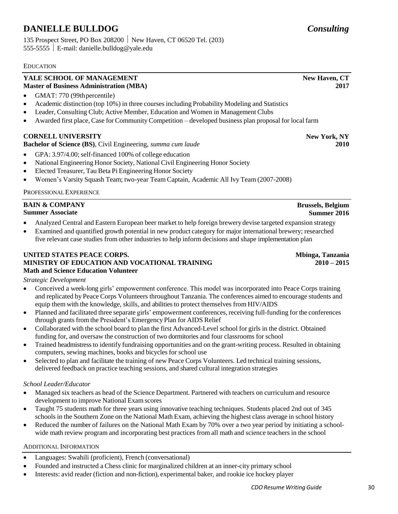### **DANIELLE BULLDOG** *Consulting*

135 Prospect Street, PO Box 208200 New Haven, CT 06520 Tel. (203) 555-5555 E-mail: [danielle.bulldog@yale.edu](mailto:danielle.bulldog@yale.edu)

#### **EDUCATION**

#### **YALE SCHOOL OF MANAGEMENT Master of Business Administration (MBA)**

- GMAT: 770 (99th percentile)
- Academic distinction (top 10%) in three courses including Probability Modeling and Statistics
- Leader, Consulting Club; Active Member, Education and Women in Management Clubs
- Awarded first place, Case for Community Competition developed business plan proposal for local farm

### **CORNELL UNIVERSITY**

#### **Bachelor of Science (BS)**, Civil Engineering, *summa cum laude*

- GPA: 3.97/4.00; self-financed 100% of college education
- National Engineering Honor Society, National Civil Engineering Honor Society
- Elected Treasurer, Tau Beta Pi Engineering Honor Society
- Women's Varsity Squash Team; two-year Team Captain, Academic All Ivy Team (2007-2008)

#### PROFESSIONALEXPERIENCE

| <b>BAIN &amp; COMPANY</b> | <b>Brussels, Belgium</b> |
|---------------------------|--------------------------|
| <b>Summer Associate</b>   | Summer 2016              |

- Analyzed Central and Eastern European beer market to help foreign brewery devise targeted expansion strategy
- Examined and quantified growth potential in new product category for major international brewery; researched five relevant case studies from other industries to help inform decisions and shape implementation plan

#### **UNITED STATES PEACE CORPS. MINISTRY OF EDUCATION AND VOCATIONAL TRAINING Math and Science Education Volunteer**

*Strategic Development*

- Conceived a week-long girls' empowerment conference. This model was incorporated into Peace Corps training and replicated by Peace Corps Volunteers throughout Tanzania. The conferences aimed to encourage students and equip them with the knowledge, skills, and abilitiesto protect themselves from HIV/AIDS
- Planned and facilitated three separate girls' empowerment conferences, receiving full-funding for the conferences through grants from the President's Emergency Plan for AIDS Relief
- Collaborated with the school board to plan the first Advanced-Level school for girls in the district. Obtained funding for, and oversaw the construction of two dormitories and four classrooms for school
- Trained headmistressto identify fundraising opportunities and on the grant-writing process. Resulted in obtaining computers, sewing machines, books and bicycles for school use
- Selected to plan and facilitate the training of new Peace Corps Volunteers. Led technical training sessions, delivered feedback on practice teaching sessions, and shared cultural integration strategies

#### *School Leader/Educator*

- Managed six teachers as head of the Science Department. Partnered with teachers on curriculum and resource development to improve National Exam scores
- Taught 75 students math for three years using innovative teaching techniques. Students placed 2nd out of 345 schools in the Southern Zone on the National Math Exam, achieving the highest class average in school history
- Reduced the number of failures on the National Math Exam by 70% over a two year period by initiating a schoolwide math review program and incorporating best practices from all math and science teachers in the school

#### ADDITIONAL INFORMATION

- Languages: Swahili (proficient), French (conversational)
- Founded and instructed a Chess clinic for marginalized children at an inner-city primary school
- Interests: avid reader (fiction and non-fiction), experimental baker, and rookie ice hockey player

**New Haven, CT**

**2017**

**New York, NY 2010**

**Mbinga, Tanzania 2010 – 2015**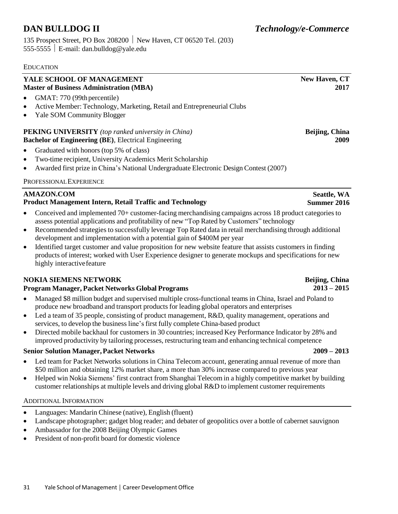135 Prospect Street, PO Box 208200 New Haven, CT 06520 Tel. (203) 555-5555 E-mail: [dan.bulldog@yale.edu](mailto:dan.bulldog@yale.edu)

#### EDUCATION

#### **YALE SCHOOL OF MANAGEMENT Master of Business Administration (MBA)**

- GMAT: 770 (99th percentile)
- Active Member: Technology, Marketing, Retail and Entrepreneurial Clubs
- Yale SOM Community Blogger

#### **PEKING UNIVERSITY** *(top ranked university in China)* **Bachelor of Engineering (BE)**, Electrical Engineering

- Graduated with honors (top 5% of class)
- Two-time recipient, University Academics Merit Scholarship
- Awarded first prize in China's National Undergraduate Electronic Design Contest (2007)

#### PROFESSIONALEXPERIENCE

### **AMAZON.COM**

- **Product Management Intern, Retail Traffic and Technology**
- Conceived and implemented 70+ customer-facing merchandising campaigns across 18 product categories to assess potential applications and profitability of new "Top Rated by Customers" technology
- Recommended strategies to successfully leverage Top Rated data in retail merchandising through additional development and implementation with a potential gain of \$400M per year
- Identified target customer and value proposition for new website feature that assists customers in finding products of interest; worked with User Experience designer to generate mockups and specifications for new highly interactivefeature

#### **NOKIA SIEMENS NETWORK**

#### **Program Manager, Packet Networks Global Programs**

- Managed \$8 million budget and supervised multiple cross-functional teams in China, Israel and Poland to produce new broadband and transport products for leading global operators and enterprises
- Led a team of 35 people, consisting of product management, R&D, quality management, operations and services, to develop the business line's first fully complete China-based product
- Directed mobile backhaul for customers in 30 countries; increased Key Performance Indicator by 28% and improved productivity by tailoring processes, restructuring teamand enhancing technical competence

#### **Senior Solution Manager,Packet Networks 2009 – 2013**

- Led team for Packet Networks solutions in China Telecom account, generating annual revenue of more than \$50 million and obtaining 12% market share, a more than 30% increase compared to previous year
- Helped win Nokia Siemens' first contract from Shanghai Telecom in a highly competitive market by building customer relationships at multiple levels and driving global R&D to implement customer requirements

#### ADDITIONAL INFORMATION

- Languages: Mandarin Chinese (native), English (fluent)
- Landscape photographer; gadget blog reader; and debater of geopolitics over a bottle of cabernet sauvignon
- Ambassador for the 2008 Beijing Olympic Games
- President of non-profit board for domestic violence

**2017**

**New Haven, CT**

**Beijing, China 2009**

### **Beijing, China 2013 – 2015**

**Seattle, WA Summer 2016**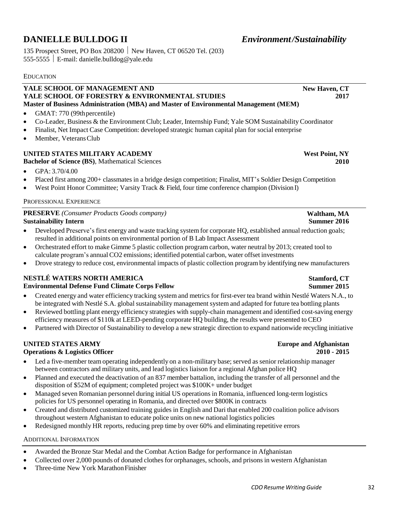### **DANIELLE BULLDOG II** *Environment/Sustainability*

135 Prospect Street, PO Box 208200 New Haven, CT 06520 Tel. (203) 555-5555 E-mail: [danielle.bulldog@yale.edu](mailto:danielle.bulldog@yale.edu)

#### **EDUCATION**

#### **YALE SCHOOL OF MANAGEMENT AND YALE SCHOOL OF FORESTRY & ENVIRONMENTAL STUDIES Master of Business Administration (MBA) and Master of Environmental Management (MEM)**

- GMAT: 770 (99th percentile)
- Co-Leader, Business & the Environment Club; Leader, Internship Fund; Yale SOM Sustainability Coordinator
- Finalist, Net Impact Case Competition: developed strategic human capital plan for social enterprise
- Member, Veterans Club

#### **UNITED STATES MILITARY ACADEMY**

**Bachelor of Science (BS)**, Mathematical Sciences

- GPA: 3.70/4.00
- Placed first among 200+ classmates in a bridge design competition; Finalist, MIT's Soldier Design Competition
- West Point Honor Committee; Varsity Track & Field, four time conference champion (Division I)

#### PROFESSIONAL EXPERIENCE

| <b>PRESERVE</b> (Consumer Products Goods company) |  |
|---------------------------------------------------|--|
| <b>Sustainability Intern</b>                      |  |

- Developed Preserve's first energy and waste tracking system for corporate HQ, established annual reduction goals; resulted in additional points on environmental portion of B Lab Impact Assessment
- Orchestrated effort to make Gimme 5 plastic collection program carbon, water neutral by 2013; created tool to calculate program's annualCO2 emissions; identified potential carbon, water offset investments
- Drove strategy to reduce cost, environmental impacts of plastic collection program by identifying new manufacturers

#### **NESTLÉ WATERS NORTH AMERICA**

#### **Environmental Defense Fund Climate Corps Fellow**

- Created energy and water efficiency tracking system and metrics for first-ever tea brand within Nestlé Waters N.A., to be integrated with Nestlé S.A. global sustainability management system and adapted for future tea bottling plants
- Reviewed bottling plant energy efficiency strategies with supply-chain management and identified cost-saving energy efficiency measures of \$110k at LEED-pending corporate HQ building, the results were presented to CEO
- Partnered with Director of Sustainability to develop a new strategic direction to expand nationwide recycling initiative

### **UNITED STATES ARMY**

#### **Operations & Logistics Officer**

- Led a five-member team operating independently on a non-military base; served as senior relationship manager between contractors and military units, and lead logistics liaison for a regional Afghan police HQ
- Planned and executed the deactivation of an 837 member battalion, including the transfer of all personnel and the disposition of \$52M of equipment; completed project was \$100K+ under budget
- Managed seven Romanian personnel during initial US operations in Romania, influenced long-term logistics policies for US personnel operating in Romania, and directed over \$800K in contracts
- Created and distributed customized training guides in English and Dari that enabled 200 coalition police advisors throughout western Afghanistan to educate police units on new national logistics policies
- Redesigned monthly HR reports, reducing prep time by over 60% and eliminating repetitive errors

#### ADDITIONAL INFORMATION

- Awarded the Bronze Star Medal and the Combat Action Badge for performance in Afghanistan
- Collected over 2,000 pounds of donated clothes for orphanages, schools, and prisons in western Afghanistan
- Three-time New York Marathon Finisher

**West Point, NY 2010**

#### **Waltham, MA Summer 2016**

# **Summer 2015**

# **Stamford, CT**

# **Europe and Afghanistan**

**2010 - 2015**

**New Haven, CT**

**2017**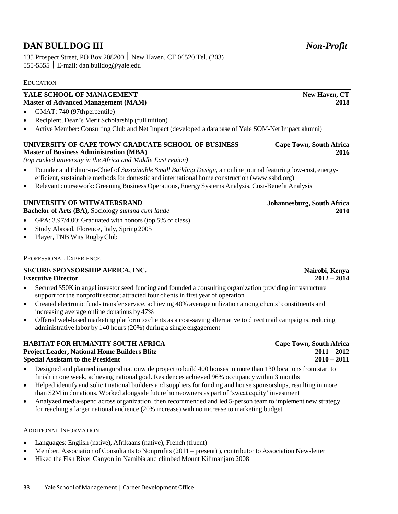### **DAN BULLDOG III** *Non-Profit*

135 Prospect Street, PO Box 208200 New Haven, CT 06520 Tel. (203) 555-5555  $\vert$  E-mail: [dan.bulldog@yale.edu](mailto:dan.bulldog@yale.edu)

#### EDUCATION

#### **YALE SCHOOL OF MANAGEMENT Master of Advanced Management (MAM)**

- GMAT: 740 (97th percentile)
- Recipient, Dean's Merit Scholarship (full tuition)
- Active Member: Consulting Club and Net Impact (developed a database of Yale SOM-Net Impact alumni)

#### **UNIVERSITY OF CAPE TOWN GRADUATE SCHOOL OF BUSINESS Master of Business Administration (MBA)**

*(top ranked university in the Africa and Middle East region)*

- Founder and Editor-in-Chief of *Sustainable Small Building Design*, an online journal featuring low-cost, energyefficient, sustainable methods for domestic and international home construction (www.ssbd.org)
- Relevant coursework: Greening Business Operations, Energy Systems Analysis, Cost-Benefit Analysis

#### **UNIVERSITY OF WITWATERSRAND**

**Bachelor of Arts (BA)**, Sociology s*umma cum laude*

- GPA: 3.97/4.00; Graduated with honors (top 5% of class)
- Study Abroad, Florence, Italy, Spring 2005
- Player, FNB Wits RugbyClub

#### PROFESSIONAL EXPERIENCE

#### **SECURE SPONSORSHIP AFRICA, INC. Executive Director**

- Secured \$50K in angel investor seed funding and founded a consulting organization providing infrastructure support for the nonprofit sector; attracted four clients in first year of operation
- Created electronic funds transfer service, achieving 40% average utilization among clients' constituents and increasing average online donations by 47%
- Offered web-based marketing platform to clients as a cost-saving alternative to direct mail campaigns, reducing administrative labor by 140 hours (20%) during a single engagement

#### **HABITAT FOR HUMANITY SOUTH AFRICA Project Leader, National Home Builders Blitz Special Assistant to the President**

- Designed and planned inaugural nationwide project to build 400 houses in more than 130 locations from start to finish in one week, achieving national goal. Residences achieved 96% occupancy within 3 months
- Helped identify and solicit national builders and suppliers for funding and house sponsorships, resulting in more than \$2M in donations. Worked alongside future homeowners as part of 'sweat equity' investment
- Analyzed media-spend across organization, then recommended and led 5-person team to implement new strategy for reaching a larger national audience (20% increase) with no increase to marketing budget

#### ADDITIONAL INFORMATION

- Languages: English (native), Afrikaans (native), French (fluent)
- Member, Association of Consultants to Nonprofits (2011 present) ), contributor to Association Newsletter
- Hiked the Fish River Canyon in Namibia and climbed Mount Kilimanjaro 2008

#### **Johannesburg, South Africa 2010**

**Cape Town, South Africa**

**Nairobi, Kenya 2012 – 2014**

**Cape Town, South Africa 2011 – 2012 2010 – 2011**

**New Haven, CT**

**2018**

**2016**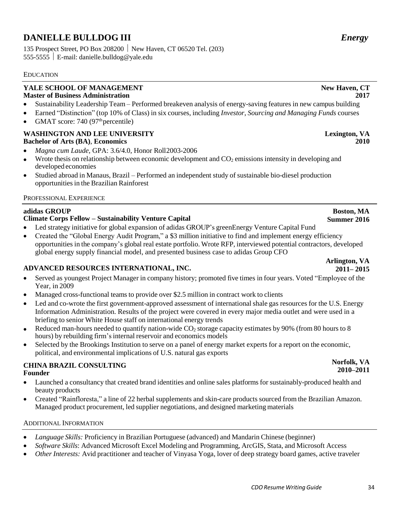### **DANIELLE BULLDOG III** *Energy*

135 Prospect Street, PO Box 208200 New Haven, CT 06520 Tel. (203) 555-5555 E-mail: [danielle.bulldog@yale.edu](mailto:danielle.bulldog@yale.edu)

#### EDUCATION

#### **YALE SCHOOL OF MANAGEMENT Master of Business Administration**

- Sustainability Leadership Team Performed breakeven analysis of energy-saving features in new campus building
- Earned "Distinction" (top 10% of Class) in six courses, including *Investor*, *Sourcing and Managing Funds* courses
- GMAT score: 740 (97<sup>th</sup> percentile)

#### **WASHINGTON AND LEE UNIVERSITY Bachelor of Arts (BA)**, **Economics**

- *Magna cum Laude*, GPA: 3.6/4.0, Honor Roll2003-2006
- Wrote thesis on relationship between economic development and  $CO<sub>2</sub>$  emissions intensity in developing and developed economies
- Studied abroad in Manaus, Brazil Performed an independent study of sustainable bio-diesel production opportunitiesin the Brazilian Rainforest

#### PROFESSIONAL EXPERIENCE

#### **adidas GROUP**

#### **Climate Corps Fellow – Sustainability Venture Capital**

- Led strategy initiative for global expansion of adidas GROUP's greenEnergy Venture Capital Fund
- Created the "Global Energy Audit Program," a \$3 million initiative to find and implement energy efficiency opportunities in the company's global real estate portfolio. Wrote RFP, interviewed potential contractors, developed global energy supply financial model, and presented business case to adidas Group CFO

#### **ADVANCED RESOURCES INTERNATIONAL, INC.**

- Served as youngest Project Manager in company history; promoted five times in four years. Voted "Employee of the Year, in 2009
- Managed cross-functional teams to provide over \$2.5 million in contract work to clients
- Led and co-wrote the first government-approved assessment of international shale gas resources for the U.S. Energy Information Administration. Results of the project were covered in every major media outlet and were used in a briefing to senior White House staff on international energy trends
- Reduced man-hours needed to quantify nation-wide  $CO_2$  storage capacity estimates by 90% (from 80 hours to 8 hours) by rebuilding firm's internal reservoir and economics models
- Selected by the Brookings Institution to serve on a panel of energy market experts for a report on the economic, political, and environmental implications of U.S. natural gas exports

#### **CHINA BRAZIL CONSULTING Founder**

- Launched a consultancy that created brand identities and online sales platforms for sustainably-produced health and beauty products
- Created "Rainfloresta," a line of 22 herbal supplements and skin-care products sourced from the Brazilian Amazon. Managed product procurement, led supplier negotiations, and designed marketing materials

#### ADDITIONAL INFORMATION

- *Language Skills:* Proficiency in Brazilian Portuguese (advanced) and Mandarin Chinese (beginner)
- *Software Skills*: Advanced Microsoft Excel Modeling and Programming, ArcGIS, Stata, and Microsoft Access
- *Other Interests:* Avid practitioner and teacher of Vinyasa Yoga, lover of deep strategy board games, active traveler

#### *CDOResume Writing Guide* 34

#### **New Haven, CT 2017**

**Lexington, VA**

**2010**

### **Boston, MA Summer 2016**

#### **Arlington, VA 2011– 2015**

### **Norfolk, VA 2010–2011**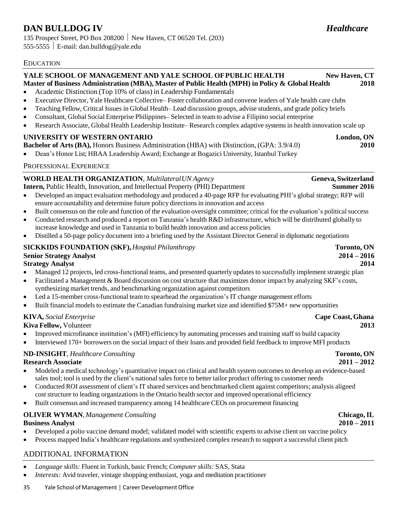### **DAN BULLDOG IV** *Healthcare*

135 Prospect Street, PO Box 208200 New Haven, CT 06520 Tel. (203) 555-5555 E-mail: [dan.bulldog@yale.edu](mailto:dan.bulldog@yale.edu)

#### EDUCATION

#### **YALE SCHOOL OF MANAGEMENT AND YALE SCHOOL OFPUBLIC HEALTH New Haven, CT Master of Business Administration (MBA), Master of Public Health (MPH) in Policy & Global Health 2018**

- Academic Distinction (Top 10% of class) in Leadership Fundamentals
- Executive Director, Yale Healthcare Collective– Foster collaboration and convene leaders of Yale health care clubs
- Teaching Fellow, Critical Issues in Global Health– Lead discussion groups, advise students, and grade policy briefs
- Consultant, Global Social Enterprise Philippines– Selected in teamto advise a Filipino social enterprise
- Research Associate, Global Health Leadership Institute–Research complex adaptive systems in health innovation scale up

### **UNIVERSITY OF WESTERN ONTARIO London, ON**

**Bachelor of Arts (BA),** Honors Business Administration (HBA) with Distinction, (GPA: 3.9/4.0) **2010**

• Dean's Honor List; HBAA Leadership Award; Exchange at Bogazici University, Istanbul Turkey

#### PROFESSIONAL EXPERIENCE

#### **WORLD HEALTH ORGANIZATION**, *Multilateral UN Agency* **Geneva, Switzerland**

**Intern,** Public Health, Innovation, and Intellectual Property (PHI) Department **Summer 2016**

- Developed an impact evaluation methodology and produced a 40-page RFP for evaluating PHI's global strategy; RFP will ensure accountability and determine future policy directions in innovation and access
- Built consensus on the role and function of the evaluation oversight committee; critical for the evaluation's political success
- Conducted research and produced a report on Tanzania's health R&D infrastructure, which will be distributed globally to increase knowledge and used in Tanzania to build health innovation and access policies
- Distilled a 50-page policy document into a briefing used by the Assistant Director General in diplomatic negotiations

#### **SICKKIDS FOUNDATION (SKF),***Hospital Philanthropy* **Toronto, ON**

#### **Senior Strategy Analyst 2014 – 2016**

#### **Strategy Analyst 2014**

- Managed 12 projects, led cross-functional teams, and presented quarterly updates to successfully implement strategic plan
- Facilitated a Management & Board discussion on cost structure that maximizes donor impact by analyzing SKF's costs, synthesizing market trends, and benchmarking organization against competitors
- Led a 15-member cross-functional team to spearhead the organization's IT change management efforts
- Built financial models to estimate the Canadian fundraising market size and identified  $$75M+$  new opportunities

#### **KIVA,** *Social Enterprise* **Cape Coast, Ghana**

**Kiva Fellow,** Volunteer **2013**

- Improved microfinance institution's (MFI) efficiency by automating processes and training staff to build capacity
- Interviewed 170+ borrowers on the social impact of their loans and provided field feedback to improve MFI products

#### **ND-INSIGHT**, *Healthcare Consulting* **Toronto, ON**

#### **Research Associate 2011 – 2012**

- Modeled a medical technology's quantitative impact on clinical and health system outcomes to develop an evidence-based sales tool; tool is used by the client's national sales force to better tailor product offering to customer needs
- Conducted ROI assessment of client's IT shared services and benchmarked client against competitors; analysis aligned cost structure to leading organizations in the Ontario health sector and improved operational efficiency
- Built consensus and increased transparency among 14 healthcare CEOs on procurement financing

#### **OLIVER WYMAN**, *Management Consulting* **Chicago,IL**

#### **Business Analyst 2010 – 2011**

- Developed a polio vaccine demand model; validated model with scientific experts to advise client on vaccine policy
- Process mapped India's healthcare regulations and synthesized complex research to support a successful client pitch

#### ADDITIONAL INFORMATION

- *Language skills:* Fluent in Turkish, basic French; *Computer skills:* SAS, Stata
- *Interests:* Avid traveler, vintage shopping enthusiast, yoga and meditation practitioner
- 35 Yale School of Management │ Career Development Office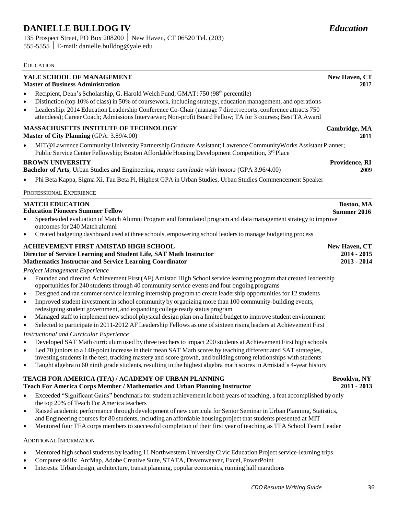### **DANIELLE BULLDOG IV** *Education*

135 Prospect Street, PO Box 208200 New Haven, CT 06520 Tel. (203) 555-5555 E-mail: [danielle.bulldog@yale.edu](mailto:danielle.bulldog@yale.edu)

#### EDUCATION

#### **YALE SCHOOL OF MANAGEMENT**

#### **Master of Business Administration**

- Recipient, Dean's Scholarship, G. Harold Welch Fund; GMAT: 750 (98<sup>th</sup> percentile)
- Distinction (top 10% of class) in 50% of coursework, including strategy, education management, and operations
- Leadership: 2014 Education Leadership Conference Co-Chair (manage 7 direct reports, conference attracts 750 attendees); Career Coach; Admissions Interviewer; Non-profit Board Fellow; TA for 3 courses; Best TA Award

#### **MASSACHUSETTS INSTITUTE OF TECHNOLOGY**

**Master of City Planning** (GPA: 3.89/4.00)

• MIT@LawrenceCommunity University Partnership Graduate Assistant; Lawrence CommunityWorks Assistant Planner; Public Service Center Fellowship; Boston Affordable Housing Development Competition, 3<sup>rd</sup> Place

#### **BROWN UNIVERSITY**

**Bachelor of Arts**, Urban Studies and Engineering, *magna cum laude with honors* (GPA 3.96/4.00)

• Phi Beta Kappa, Sigma Xi, Tau Beta Pi, Highest GPA in Urban Studies, Urban Studies Commencement Speaker

#### PROFESSIONAL EXPERIENCE

| <b>MATCH EDUCATION</b><br><b>Education Pioneers Summer Fellow</b>                                                                                                                                                                                                                                                                                                                                                                                                                                                                                                                                                                                                                                                                                                                                                                | Boston, MA<br>Summer 2016                     |
|----------------------------------------------------------------------------------------------------------------------------------------------------------------------------------------------------------------------------------------------------------------------------------------------------------------------------------------------------------------------------------------------------------------------------------------------------------------------------------------------------------------------------------------------------------------------------------------------------------------------------------------------------------------------------------------------------------------------------------------------------------------------------------------------------------------------------------|-----------------------------------------------|
| Spearheaded evaluation of Match Alumni Program and formulated program and data management strategy to improve<br>$\bullet$<br>outcomes for 240 Match alumni                                                                                                                                                                                                                                                                                                                                                                                                                                                                                                                                                                                                                                                                      |                                               |
| Created budgeting dashboard used at three schools, empowering school leaders to manage budgeting process<br>$\bullet$                                                                                                                                                                                                                                                                                                                                                                                                                                                                                                                                                                                                                                                                                                            |                                               |
| ACHIEVEMENT FIRST AMISTAD HIGH SCHOOL<br>Director of Service Learning and Student Life, SAT Math Instructor<br><b>Mathematics Instructor and Service Learning Coordinator</b>                                                                                                                                                                                                                                                                                                                                                                                                                                                                                                                                                                                                                                                    | New Haven, CT<br>$2014 - 2015$<br>2013 - 2014 |
| Project Management Experience                                                                                                                                                                                                                                                                                                                                                                                                                                                                                                                                                                                                                                                                                                                                                                                                    |                                               |
| Founded and directed Achievement First (AF) Amistad High School service learning program that created leadership<br>$\bullet$<br>opportunities for 240 students through 40 community service events and four ongoing programs<br>Designed and ran summer service learning internship program to create leadership opportunities for 12 students<br>$\bullet$<br>Improved student investment in school community by organizing more than 100 community-building events,<br>$\bullet$<br>redesigning student government, and expanding college ready status program<br>Managed staff to implement new school physical design plan on a limited budget to improve student environment<br>$\bullet$<br>Selected to participate in 2011-2012 AF Leadership Fellows as one of sixteen rising leaders at Achievement First<br>$\bullet$ |                                               |
| <b>Instructional and Curricular Experience</b>                                                                                                                                                                                                                                                                                                                                                                                                                                                                                                                                                                                                                                                                                                                                                                                   |                                               |
| Developed SAT Math curriculum used by three teachers to impact 200 students at Achievement First high schools<br>$\bullet$<br>Led 70 juniors to a 140-point increase in their mean SAT Math scores by teaching differentiated SAT strategies,<br>$\mathbf{1}$ and $\mathbf{1}$ and $\mathbf{1}$ and $\mathbf{1}$ and $\mathbf{1}$ and $\mathbf{1}$ and $\mathbf{1}$ and $\mathbf{1}$                                                                                                                                                                                                                                                                                                                                                                                                                                             |                                               |

- investing students in the test, tracking mastery and score growth, and building strong relationships with students
- Taught algebra to 60 ninth grade students, resulting in the highest algebra math scoresin Amistad's 4-year history

### **TEACH FOR AMERICA (TFA) / ACADEMY OF URBAN PLANNING**

- **Teach For America Corps Member / Mathematics and Urban Planning Instructor**
- Exceeded "Significant Gains" benchmark for student achievement in both years of teaching, a feat accomplished by only the top 20% of Teach For America teachers
- Raised academic performance through development of new curricula for Senior Seminar in Urban Planning, Statistics, and Engineering courses for 80 students, including an affordable housing project that students presented at MIT
- Mentored four TFA corps members to successful completion of their first year of teaching as TFA School Team Leader

#### ADDITIONAL INFORMATION

- Mentored high schoolstudents by leading 11 Northwestern University Civic Education Project service-learning trips
- Computer skills: ArcMap, Adobe Creative Suite, STATA, Dreamweaver, Excel, PowerPoint
- Interests: Urban design, architecture, transit planning, popular economics, running half marathons

**New Haven, CT**

**Cambridge, MA**

**Providence, RI**

**2017**

**2011**

**2009**

**Brooklyn, NY 2011 - 2013**